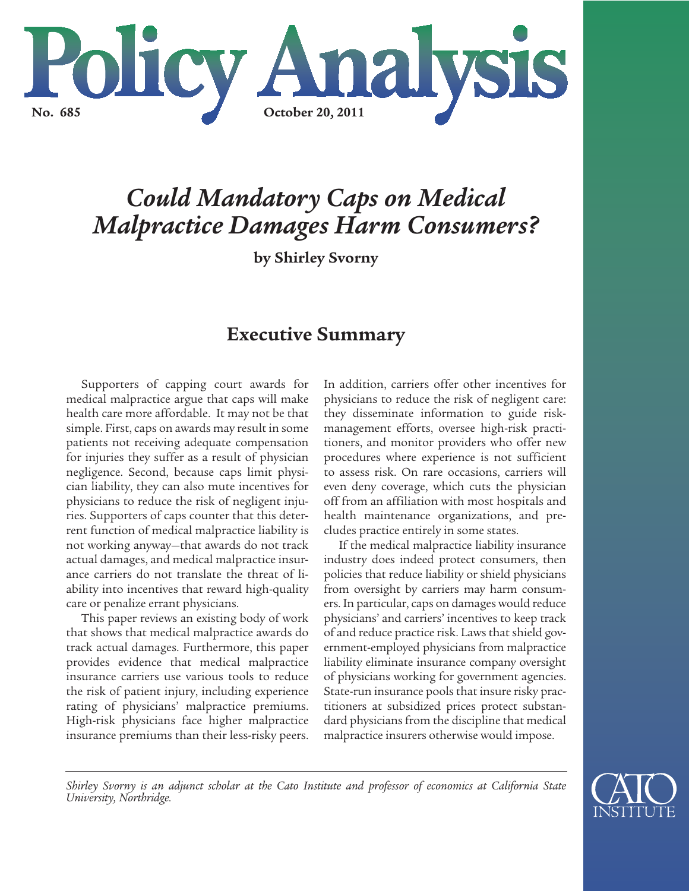

# *Could Mandatory Caps on Medical Malpractice Damages Harm Consumers?*

**by Shirley Svorny**

# **Executive Summary**

Supporters of capping court awards for medical malpractice argue that caps will make health care more affordable. It may not be that simple. First, caps on awards may result in some patients not receiving adequate compensation for injuries they suffer as a result of physician negligence. Second, because caps limit physician liability, they can also mute incentives for physicians to reduce the risk of negligent injuries. Supporters of caps counter that this deterrent function of medical malpractice liability is not working anyway—that awards do not track actual damages, and medical malpractice insurance carriers do not translate the threat of liability into incentives that reward high-quality care or penalize errant physicians.

This paper reviews an existing body of work that shows that medical malpractice awards do track actual damages. Furthermore, this paper provides evidence that medical malpractice insurance carriers use various tools to reduce the risk of patient injury, including experience rating of physicians' malpractice premiums. High-risk physicians face higher malpractice insurance premiums than their less-risky peers.

In addition, carriers offer other incentives for physicians to reduce the risk of negligent care: they disseminate information to guide riskmanagement efforts, oversee high-risk practitioners, and monitor providers who offer new procedures where experience is not sufficient to assess risk. On rare occasions, carriers will even deny coverage, which cuts the physician off from an affiliation with most hospitals and health maintenance organizations, and precludes practice entirely in some states.

If the medical malpractice liability insurance industry does indeed protect consumers, then policies that reduce liability or shield physicians from oversight by carriers may harm consumers. In particular, caps on damages would reduce physicians' and carriers' incentives to keep track of and reduce practice risk. Laws that shield government-employed physicians from malpractice liability eliminate insurance company oversight of physicians working for government agencies. State-run insurance pools that insure risky practitioners at subsidized prices protect substandard physicians from the discipline that medical malpractice insurers otherwise would impose.

*Shirley Svorny is an adjunct scholar at the Cato Institute and professor of economics at California State University, Northridge.*

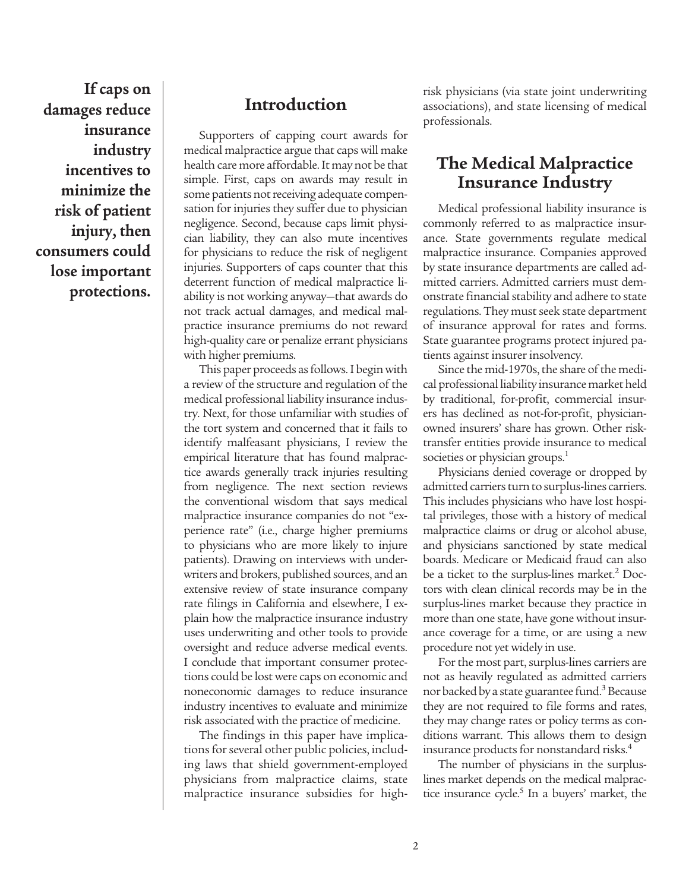**If caps on damages reduce insurance industry incentives to minimize the risk of patient injury, then consumers could lose important protections.**

### **Introduction**

Supporters of capping court awards for medical malpractice argue that caps will make health care more affordable. It may not be that simple. First, caps on awards may result in some patients not receiving adequate compensation for injuries they suffer due to physician negligence. Second, because caps limit physician liability, they can also mute incentives for physicians to reduce the risk of negligent injuries. Supporters of caps counter that this deterrent function of medical malpractice liability is not working anyway—that awards do not track actual damages, and medical malpractice insurance premiums do not reward high-quality care or penalize errant physicians with higher premiums.

This paper proceeds as follows. I begin with a review of the structure and regulation of the medical professional liability insurance industry. Next, for those unfamiliar with studies of the tort system and concerned that it fails to identify malfeasant physicians, I review the empirical literature that has found malpractice awards generally track injuries resulting from negligence. The next section reviews the conventional wisdom that says medical malpractice insurance companies do not "experience rate" (i.e., charge higher premiums to physicians who are more likely to injure patients). Drawing on interviews with underwriters and brokers, published sources, and an extensive review of state insurance company rate filings in California and elsewhere, I explain how the malpractice insurance industry uses underwriting and other tools to provide oversight and reduce adverse medical events. I conclude that important consumer protections could be lost were caps on economic and noneconomic damages to reduce insurance industry incentives to evaluate and minimize risk associated with the practice of medicine.

The findings in this paper have implications for several other public policies, including laws that shield government-employed physicians from malpractice claims, state malpractice insurance subsidies for highrisk physicians (via state joint underwriting associations), and state licensing of medical professionals.

# **The Medical Malpractice Insurance Industry**

Medical professional liability insurance is commonly referred to as malpractice insurance. State governments regulate medical malpractice insurance. Companies approved by state insurance departments are called admitted carriers. Admitted carriers must demonstrate financial stability and adhere to state regulations. They must seek state department of insurance approval for rates and forms. State guarantee programs protect injured patients against insurer insolvency.

Since the mid-1970s, the share of the medical professional liability insurance market held by traditional, for-profit, commercial insurers has declined as not-for-profit, physicianowned insurers' share has grown. Other risktransfer entities provide insurance to medical societies or physician groups.<sup>1</sup>

Physicians denied coverage or dropped by admitted carriers turn to surplus-lines carriers. This includes physicians who have lost hospital privileges, those with a history of medical malpractice claims or drug or alcohol abuse, and physicians sanctioned by state medical boards. Medicare or Medicaid fraud can also be a ticket to the surplus-lines market.<sup>2</sup> Doctors with clean clinical records may be in the surplus-lines market because they practice in more than one state, have gone without insurance coverage for a time, or are using a new procedure not yet widely in use.

For the most part, surplus-lines carriers are not as heavily regulated as admitted carriers nor backed by a state guarantee fund. $3$  Because they are not required to file forms and rates, they may change rates or policy terms as conditions warrant. This allows them to design insurance products for nonstandard risks.<sup>4</sup>

The number of physicians in the surpluslines market depends on the medical malpractice insurance cycle.<sup>5</sup> In a buyers' market, the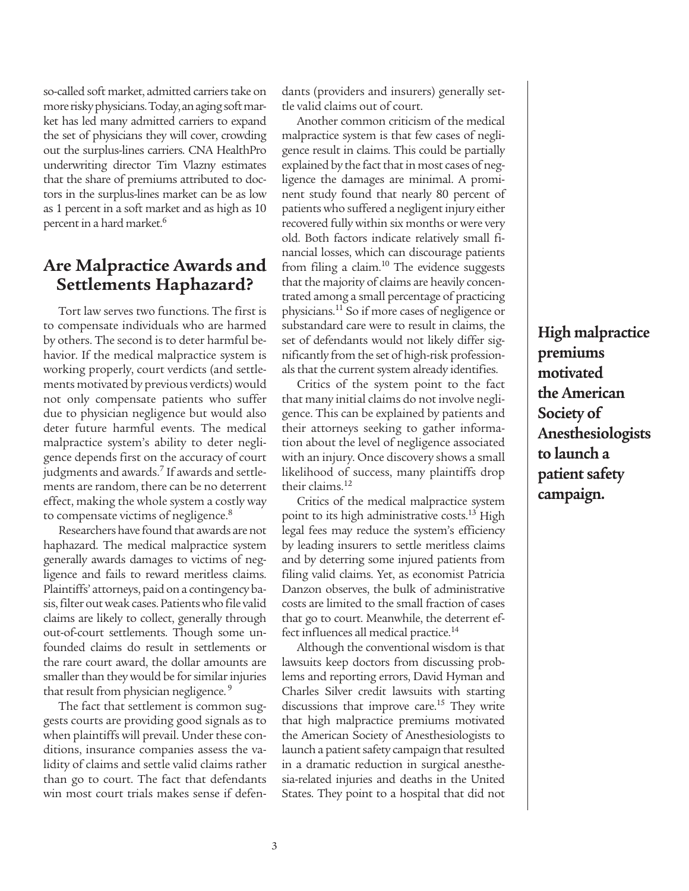so-called soft market, admitted carriers take on more risky physicians. Today, an aging soft market has led many admitted carriers to expand the set of physicians they will cover, crowding out the surplus-lines carriers. CNA HealthPro underwriting director Tim Vlazny estimates that the share of premiums attributed to doctors in the surplus-lines market can be as low as 1 percent in a soft market and as high as 10 percent in a hard market.<sup>6</sup>

### **Are Malpractice Awards and Settlements Haphazard?**

Tort law serves two functions. The first is to compensate individuals who are harmed by others. The second is to deter harmful behavior. If the medical malpractice system is working properly, court verdicts (and settlements motivated by previous verdicts) would not only compensate patients who suffer due to physician negligence but would also deter future harmful events. The medical malpractice system's ability to deter negligence depends first on the accuracy of court judgments and awards.<sup>7</sup> If awards and settlements are random, there can be no deterrent effect, making the whole system a costly way to compensate victims of negligence.<sup>8</sup>

Researchers have found that awards are not haphazard. The medical malpractice system generally awards damages to victims of negligence and fails to reward meritless claims. Plaintiffs' attorneys, paid on a contingency basis, filter out weak cases. Patients who file valid claims are likely to collect, generally through out-of-court settlements. Though some unfounded claims do result in settlements or the rare court award, the dollar amounts are smaller than they would be for similar injuries that result from physician negligence.<sup>9</sup>

The fact that settlement is common suggests courts are providing good signals as to when plaintiffs will prevail. Under these conditions, insurance companies assess the validity of claims and settle valid claims rather than go to court. The fact that defendants win most court trials makes sense if defendants (providers and insurers) generally settle valid claims out of court.

Another common criticism of the medical malpractice system is that few cases of negligence result in claims. This could be partially explained by the fact that in most cases of negligence the damages are minimal. A prominent study found that nearly 80 percent of patients who suffered a negligent injury either recovered fully within six months or were very old. Both factors indicate relatively small financial losses, which can discourage patients from filing a claim. $10$  The evidence suggests that the majority of claims are heavily concentrated among a small percentage of practicing physicians.11 So if more cases of negligence or substandard care were to result in claims, the set of defendants would not likely differ significantly from the set of high-risk professionals that the current system already identifies.

Critics of the system point to the fact that many initial claims do not involve negligence. This can be explained by patients and their attorneys seeking to gather information about the level of negligence associated with an injury. Once discovery shows a small likelihood of success, many plaintiffs drop their claims.12

Critics of the medical malpractice system point to its high administrative costs.<sup>13</sup> High legal fees may reduce the system's efficiency by leading insurers to settle meritless claims and by deterring some injured patients from filing valid claims. Yet, as economist Patricia Danzon observes, the bulk of administrative costs are limited to the small fraction of cases that go to court. Meanwhile, the deterrent effect influences all medical practice.<sup>14</sup>

Although the conventional wisdom is that lawsuits keep doctors from discussing problems and reporting errors, David Hyman and Charles Silver credit lawsuits with starting discussions that improve care.<sup>15</sup> They write that high malpractice premiums motivated the American Society of Anesthesiologists to launch a patient safety campaign that resulted in a dramatic reduction in surgical anesthesia-related injuries and deaths in the United States. They point to a hospital that did not

**High malpractice premiums motivated the American Society of Anesthesiologists to launch a patient safety campaign.**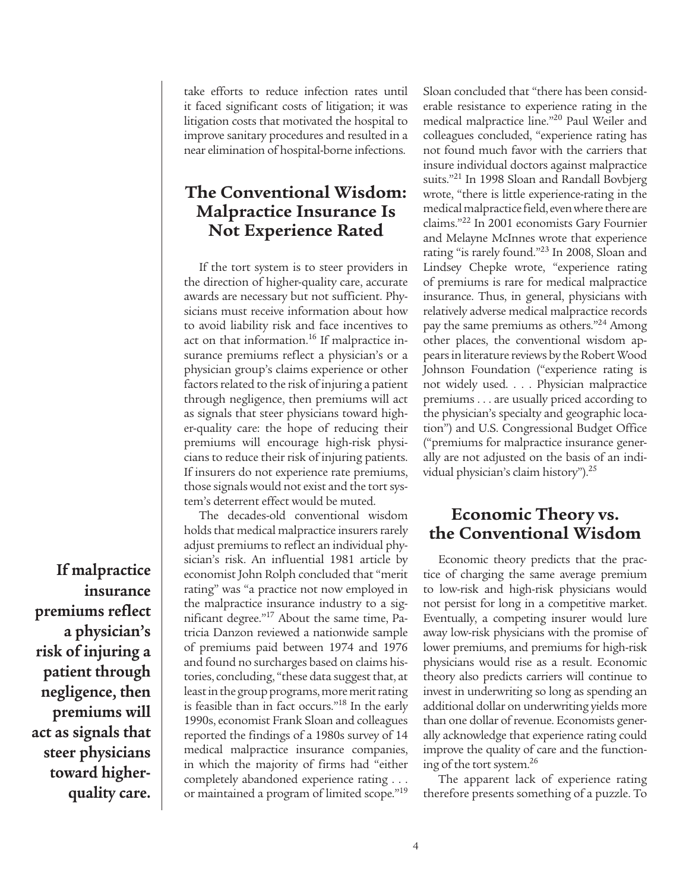take efforts to reduce infection rates until it faced significant costs of litigation; it was litigation costs that motivated the hospital to improve sanitary procedures and resulted in a near elimination of hospital-borne infections.

# **The Conventional Wisdom: Malpractice Insurance Is Not Experience Rated**

If the tort system is to steer providers in the direction of higher-quality care, accurate awards are necessary but not sufficient. Physicians must receive information about how to avoid liability risk and face incentives to act on that information.<sup>16</sup> If malpractice insurance premiums reflect a physician's or a physician group's claims experience or other factors related to the risk of injuring a patient through negligence, then premiums will act as signals that steer physicians toward higher-quality care: the hope of reducing their premiums will encourage high-risk physicians to reduce their risk of injuring patients. If insurers do not experience rate premiums, those signals would not exist and the tort system's deterrent effect would be muted.

The decades-old conventional wisdom holds that medical malpractice insurers rarely adjust premiums to reflect an individual physician's risk. An influential 1981 article by economist John Rolph concluded that "merit rating" was "a practice not now employed in the malpractice insurance industry to a significant degree."17 About the same time, Patricia Danzon reviewed a nationwide sample of premiums paid between 1974 and 1976 and found no surcharges based on claims histories, concluding, "these data suggest that, at least in the group programs, more merit rating is feasible than in fact occurs."<sup>18</sup> In the early 1990s, economist Frank Sloan and colleagues reported the findings of a 1980s survey of 14 medical malpractice insurance companies, in which the majority of firms had "either completely abandoned experience rating . . . or maintained a program of limited scope."<sup>19</sup>

Sloan concluded that "there has been considerable resistance to experience rating in the medical malpractice line."20 Paul Weiler and colleagues concluded, "experience rating has not found much favor with the carriers that insure individual doctors against malpractice suits."<sup>21</sup> In 1998 Sloan and Randall Bovbjerg wrote, "there is little experience-rating in the medical malpractice field, even where there are claims."22 In 2001 economists Gary Fournier and Melayne McInnes wrote that experience rating "is rarely found."23 In 2008, Sloan and Lindsey Chepke wrote, "experience rating of premiums is rare for medical malpractice insurance. Thus, in general, physicians with relatively adverse medical malpractice records pay the same premiums as others."24 Among other places, the conventional wisdom appears in literature reviews by the Robert Wood Johnson Foundation ("experience rating is not widely used. . . . Physician malpractice premiums . . . are usually priced according to the physician's specialty and geographic location") and U.S. Congressional Budget Office ("premiums for malpractice insurance generally are not adjusted on the basis of an individual physician's claim history").<sup>25</sup>

# **Economic Theory vs. the Conventional Wisdom**

Economic theory predicts that the practice of charging the same average premium to low-risk and high-risk physicians would not persist for long in a competitive market. Eventually, a competing insurer would lure away low-risk physicians with the promise of lower premiums, and premiums for high-risk physicians would rise as a result. Economic theory also predicts carriers will continue to invest in underwriting so long as spending an additional dollar on underwriting yields more than one dollar of revenue. Economists generally acknowledge that experience rating could improve the quality of care and the functioning of the tort system.26

The apparent lack of experience rating therefore presents something of a puzzle. To

**If malpractice insurance premiums reflect a physician's risk of injuring a patient through negligence, then premiums will act as signals that steer physicians toward higherquality care.**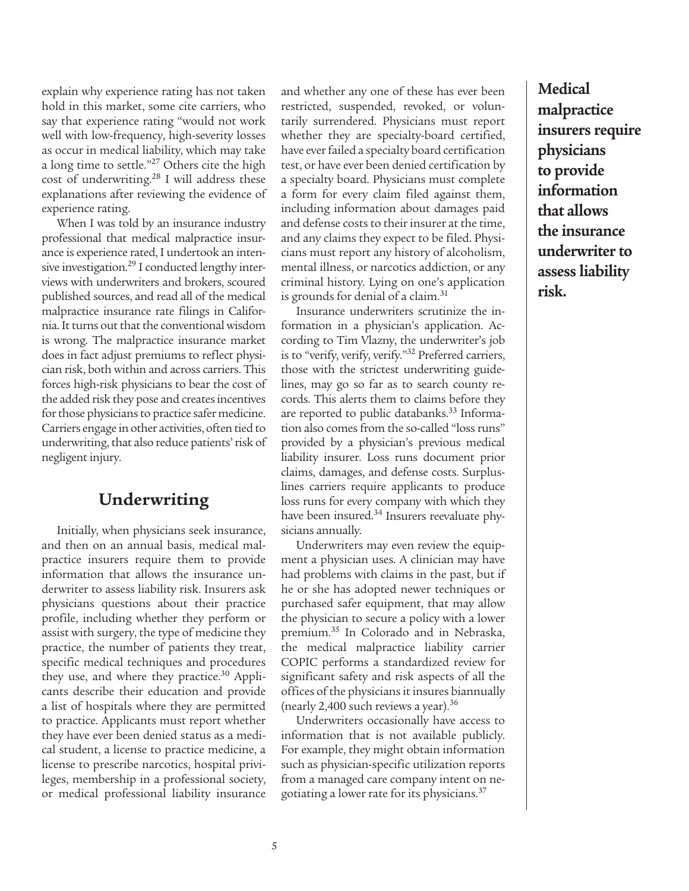explain why experience rating has not taken hold in this market, some cite carriers, who say that experience rating "would not work well with low-frequency, high-severity losses as occur in medical liability, which may take a long time to settle."<sup>27</sup> Others cite the high cost of underwriting. $28$  I will address these explanations after reviewing the evidence of experience rating.

When I was told by an insurance industry professional that medical malpractice insurance is experience rated, I undertook an intensive investigation.<sup>29</sup> I conducted lengthy interviews with underwriters and brokers, scoured published sources, and read all of the medical malpractice insurance rate filings in California. It turns out that the conventional wisdom is wrong. The malpractice insurance market does in fact adjust premiums to reflect physician risk, both within and across carriers. This forces high-risk physicians to bear the cost of the added risk they pose and creates incentives for those physicians to practice safer medicine. Carriers engage in other activities, often tied to underwriting, that also reduce patients' risk of negligent injury.

## **Underwriting**

Initially, when physicians seek insurance, and then on an annual basis, medical malpractice insurers require them to provide information that allows the insurance underwriter to assess liability risk. Insurers ask physicians questions about their practice profile, including whether they perform or assist with surgery, the type of medicine they practice, the number of patients they treat, specific medical techniques and procedures they use, and where they practice.<sup>30</sup> Applicants describe their education and provide a list of hospitals where they are permitted to practice. Applicants must report whether they have ever been denied status as a medical student, a license to practice medicine, a license to prescribe narcotics, hospital privileges, membership in a professional society, or medical professional liability insurance and whether any one of these has ever been restricted, suspended, revoked, or voluntarily surrendered. Physicians must report whether they are specialty-board certified, have ever failed a specialty board certification test, or have ever been denied certification by a specialty board. Physicians must complete a form for every claim filed against them, including information about damages paid and defense costs to their insurer at the time, and any claims they expect to be filed. Physicians must report any history of alcoholism, mental illness, or narcotics addiction, or any criminal history. Lying on one's application is grounds for denial of a claim.<sup>31</sup>

Insurance underwriters scrutinize the information in a physician's application. According to Tim Vlazny, the underwriter's job is to "verify, verify, verify."32 Preferred carriers, those with the strictest underwriting guidelines, may go so far as to search county records. This alerts them to claims before they are reported to public databanks.<sup>33</sup> Information also comes from the so-called "loss runs" provided by a physician's previous medical liability insurer. Loss runs document prior claims, damages, and defense costs. Surpluslines carriers require applicants to produce loss runs for every company with which they have been insured.<sup>34</sup> Insurers reevaluate physicians annually.

Underwriters may even review the equipment a physician uses. A clinician may have had problems with claims in the past, but if he or she has adopted newer techniques or purchased safer equipment, that may allow the physician to secure a policy with a lower premium.35 In Colorado and in Nebraska, the medical malpractice liability carrier COPIC performs a standardized review for significant safety and risk aspects of all the offices of the physicians it insures biannually (nearly 2,400 such reviews a year).  $36$ 

Underwriters occasionally have access to information that is not available publicly. For example, they might obtain information such as physician-specific utilization reports from a managed care company intent on negotiating a lower rate for its physicians.37

**Medical malpractice insurers require physicians to provide information that allows the insurance underwriter to assess liability risk.**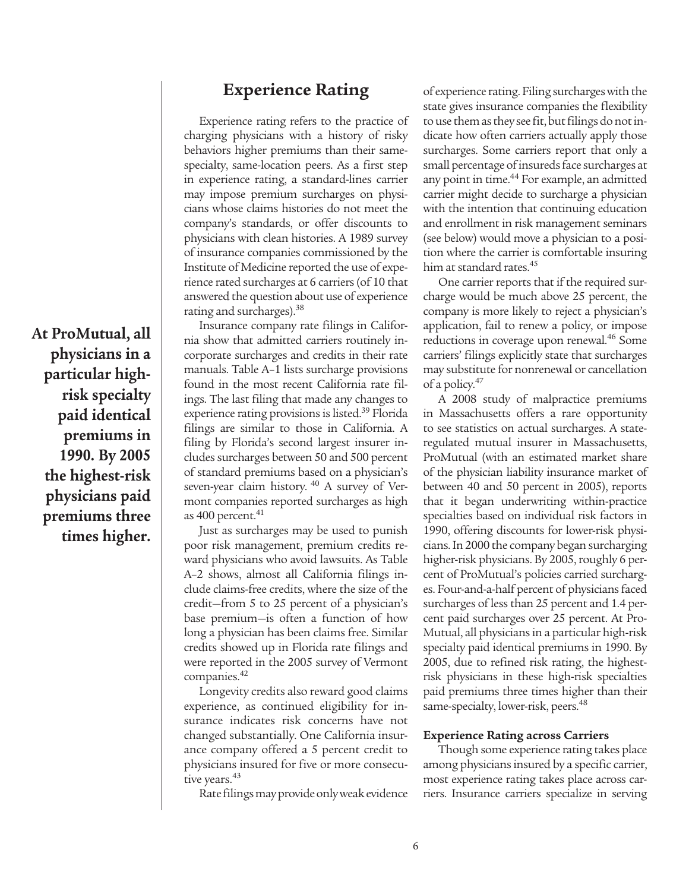**Experience Rating**

Experience rating refers to the practice of charging physicians with a history of risky behaviors higher premiums than their samespecialty, same-location peers. As a first step in experience rating, a standard-lines carrier may impose premium surcharges on physicians whose claims histories do not meet the company's standards, or offer discounts to physicians with clean histories. A 1989 survey of insurance companies commissioned by the Institute of Medicine reported the use of experience rated surcharges at 6 carriers (of 10 that answered the question about use of experience rating and surcharges).<sup>38</sup>

Insurance company rate filings in California show that admitted carriers routinely incorporate surcharges and credits in their rate manuals. Table A–1 lists surcharge provisions found in the most recent California rate filings. The last filing that made any changes to experience rating provisions is listed.<sup>39</sup> Florida filings are similar to those in California. A filing by Florida's second largest insurer includes surcharges between 50 and 500 percent of standard premiums based on a physician's seven-year claim history. <sup>40</sup> A survey of Vermont companies reported surcharges as high as  $400$  percent. $41$ 

Just as surcharges may be used to punish poor risk management, premium credits reward physicians who avoid lawsuits. As Table A–2 shows, almost all California filings include claims-free credits, where the size of the credit—from 5 to 25 percent of a physician's base premium—is often a function of how long a physician has been claims free. Similar credits showed up in Florida rate filings and were reported in the 2005 survey of Vermont companies.<sup>42</sup>

Longevity credits also reward good claims experience, as continued eligibility for insurance indicates risk concerns have not changed substantially. One California insurance company offered a 5 percent credit to physicians insured for five or more consecutive years.<sup>43</sup>

Rate filings may provide only weak evidence

of experience rating. Filing surcharges with the state gives insurance companies the flexibility to use them as they see fit, but filings do not indicate how often carriers actually apply those surcharges. Some carriers report that only a small percentage of insureds face surcharges at any point in time.<sup>44</sup> For example, an admitted carrier might decide to surcharge a physician with the intention that continuing education and enrollment in risk management seminars (see below) would move a physician to a position where the carrier is comfortable insuring him at standard rates.<sup>45</sup>

One carrier reports that if the required surcharge would be much above 25 percent, the company is more likely to reject a physician's application, fail to renew a policy, or impose reductions in coverage upon renewal.<sup>46</sup> Some carriers' filings explicitly state that surcharges may substitute for nonrenewal or cancellation of a policy.47

A 2008 study of malpractice premiums in Massachusetts offers a rare opportunity to see statistics on actual surcharges. A stateregulated mutual insurer in Massachusetts, ProMutual (with an estimated market share of the physician liability insurance market of between 40 and 50 percent in 2005), reports that it began underwriting within-practice specialties based on individual risk factors in 1990, offering discounts for lower-risk physicians. In 2000 the company began surcharging higher-risk physicians. By 2005, roughly 6 percent of ProMutual's policies carried surcharges. Four-and-a-half percent of physicians faced surcharges of less than 25 percent and 1.4 percent paid surcharges over 25 percent. At Pro-Mutual, all physicians in a particular high-risk specialty paid identical premiums in 1990. By 2005, due to refined risk rating, the highestrisk physicians in these high-risk specialties paid premiums three times higher than their same-specialty, lower-risk, peers.<sup>48</sup>

#### **Experience Rating across Carriers**

Though some experience rating takes place among physicians insured by a specific carrier, most experience rating takes place across carriers. Insurance carriers specialize in serving

**At ProMutual, all physicians in a particular highrisk specialty paid identical premiums in 1990. By 2005 the highest-risk physicians paid premiums three times higher.**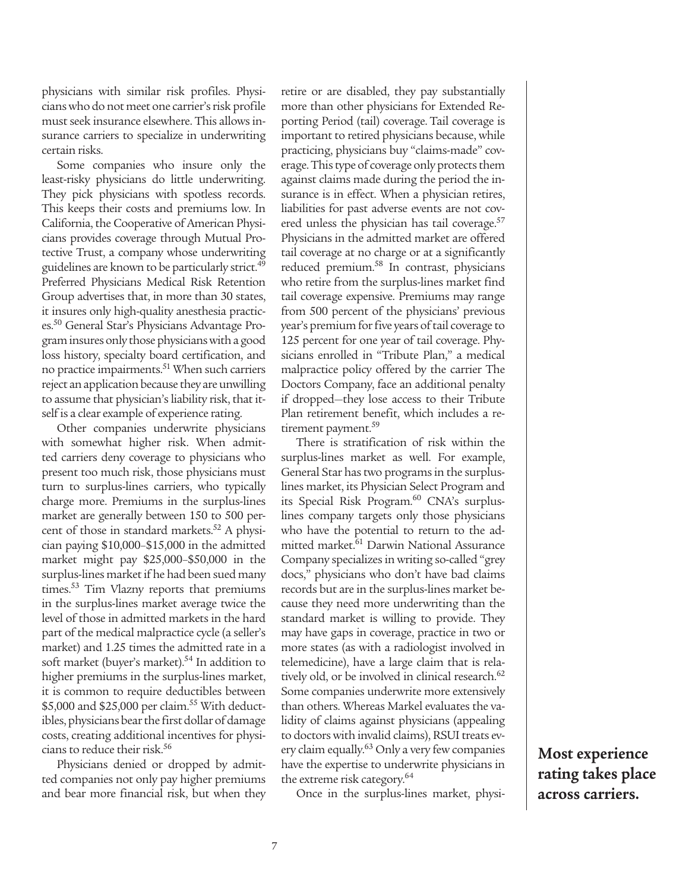physicians with similar risk profiles. Physicians who do not meet one carrier's risk profile must seek insurance elsewhere. This allows insurance carriers to specialize in underwriting certain risks.

Some companies who insure only the least-risky physicians do little underwriting. They pick physicians with spotless records. This keeps their costs and premiums low. In California, the Cooperative of American Physicians provides coverage through Mutual Protective Trust, a company whose underwriting guidelines are known to be particularly strict.<sup>49</sup> Preferred Physicians Medical Risk Retention Group advertises that, in more than 30 states, it insures only high-quality anesthesia practices.50 General Star's Physicians Advantage Program insures only those physicians with a good loss history, specialty board certification, and no practice impairments.<sup>51</sup> When such carriers reject an application because they are unwilling to assume that physician's liability risk, that itself is a clear example of experience rating.

Other companies underwrite physicians with somewhat higher risk. When admitted carriers deny coverage to physicians who present too much risk, those physicians must turn to surplus-lines carriers, who typically charge more. Premiums in the surplus-lines market are generally between 150 to 500 percent of those in standard markets.<sup>52</sup> A physician paying \$10,000–\$15,000 in the admitted market might pay \$25,000–\$50,000 in the surplus-lines market if he had been sued many times.<sup>53</sup> Tim Vlazny reports that premiums in the surplus-lines market average twice the level of those in admitted markets in the hard part of the medical malpractice cycle (a seller's market) and 1.25 times the admitted rate in a soft market (buyer's market).<sup>54</sup> In addition to higher premiums in the surplus-lines market, it is common to require deductibles between \$5,000 and \$25,000 per claim.<sup>55</sup> With deductibles, physicians bear the first dollar of damage costs, creating additional incentives for physicians to reduce their risk.<sup>56</sup>

Physicians denied or dropped by admitted companies not only pay higher premiums and bear more financial risk, but when they retire or are disabled, they pay substantially more than other physicians for Extended Reporting Period (tail) coverage. Tail coverage is important to retired physicians because, while practicing, physicians buy "claims-made" coverage. This type of coverage only protects them against claims made during the period the insurance is in effect. When a physician retires, liabilities for past adverse events are not covered unless the physician has tail coverage.<sup>57</sup> Physicians in the admitted market are offered tail coverage at no charge or at a significantly reduced premium.<sup>58</sup> In contrast, physicians who retire from the surplus-lines market find tail coverage expensive. Premiums may range from 500 percent of the physicians' previous year's premium for five years of tail coverage to 125 percent for one year of tail coverage. Physicians enrolled in "Tribute Plan," a medical malpractice policy offered by the carrier The Doctors Company, face an additional penalty if dropped—they lose access to their Tribute Plan retirement benefit, which includes a retirement payment.<sup>59</sup>

There is stratification of risk within the surplus-lines market as well. For example, General Star has two programs in the surpluslines market, its Physician Select Program and its Special Risk Program.<sup>60</sup> CNA's surpluslines company targets only those physicians who have the potential to return to the admitted market.<sup>61</sup> Darwin National Assurance Company specializes in writing so-called "grey docs," physicians who don't have bad claims records but are in the surplus-lines market because they need more underwriting than the standard market is willing to provide. They may have gaps in coverage, practice in two or more states (as with a radiologist involved in telemedicine), have a large claim that is relatively old, or be involved in clinical research.<sup>62</sup> Some companies underwrite more extensively than others. Whereas Markel evaluates the validity of claims against physicians (appealing to doctors with invalid claims), RSUI treats every claim equally.63 Only a very few companies have the expertise to underwrite physicians in the extreme risk category.<sup>64</sup>

Once in the surplus-lines market, physi-

**Most experience rating takes place across carriers.**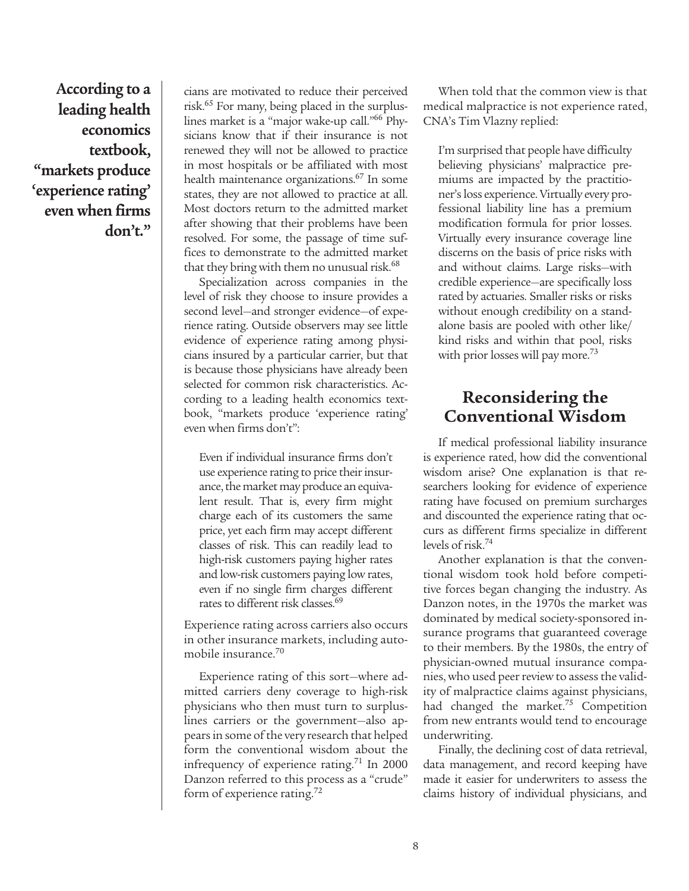**According to a leading health economics textbook, "markets produce 'experience rating' even when firms don't."**

cians are motivated to reduce their perceived risk.65 For many, being placed in the surpluslines market is a "major wake-up call."66 Physicians know that if their insurance is not renewed they will not be allowed to practice in most hospitals or be affiliated with most health maintenance organizations.<sup>67</sup> In some states, they are not allowed to practice at all. Most doctors return to the admitted market after showing that their problems have been resolved. For some, the passage of time suffices to demonstrate to the admitted market that they bring with them no unusual risk. $68$ 

Specialization across companies in the level of risk they choose to insure provides a second level—and stronger evidence—of experience rating. Outside observers may see little evidence of experience rating among physicians insured by a particular carrier, but that is because those physicians have already been selected for common risk characteristics. According to a leading health economics textbook, "markets produce 'experience rating' even when firms don't":

Even if individual insurance firms don't use experience rating to price their insurance, the market may produce an equivalent result. That is, every firm might charge each of its customers the same price, yet each firm may accept different classes of risk. This can readily lead to high-risk customers paying higher rates and low-risk customers paying low rates, even if no single firm charges different rates to different risk classes.<sup>69</sup>

Experience rating across carriers also occurs in other insurance markets, including automobile insurance.<sup>70</sup>

Experience rating of this sort—where admitted carriers deny coverage to high-risk physicians who then must turn to surpluslines carriers or the government—also appears in some of the very research that helped form the conventional wisdom about the infrequency of experience rating.<sup>71</sup> In 2000 Danzon referred to this process as a "crude" form of experience rating.<sup>72</sup>

When told that the common view is that medical malpractice is not experience rated, CNA's Tim Vlazny replied:

I'm surprised that people have difficulty believing physicians' malpractice premiums are impacted by the practitioner's loss experience. Virtually every professional liability line has a premium modification formula for prior losses. Virtually every insurance coverage line discerns on the basis of price risks with and without claims. Large risks—with credible experience—are specifically loss rated by actuaries. Smaller risks or risks without enough credibility on a standalone basis are pooled with other like/ kind risks and within that pool, risks with prior losses will pay more.<sup>73</sup>

# **Reconsidering the Conventional Wisdom**

If medical professional liability insurance is experience rated, how did the conventional wisdom arise? One explanation is that researchers looking for evidence of experience rating have focused on premium surcharges and discounted the experience rating that occurs as different firms specialize in different levels of risk.74

Another explanation is that the conventional wisdom took hold before competitive forces began changing the industry. As Danzon notes, in the 1970s the market was dominated by medical society-sponsored insurance programs that guaranteed coverage to their members. By the 1980s, the entry of physician-owned mutual insurance companies, who used peer review to assess the validity of malpractice claims against physicians, had changed the market.<sup>75</sup> Competition from new entrants would tend to encourage underwriting.

Finally, the declining cost of data retrieval, data management, and record keeping have made it easier for underwriters to assess the claims history of individual physicians, and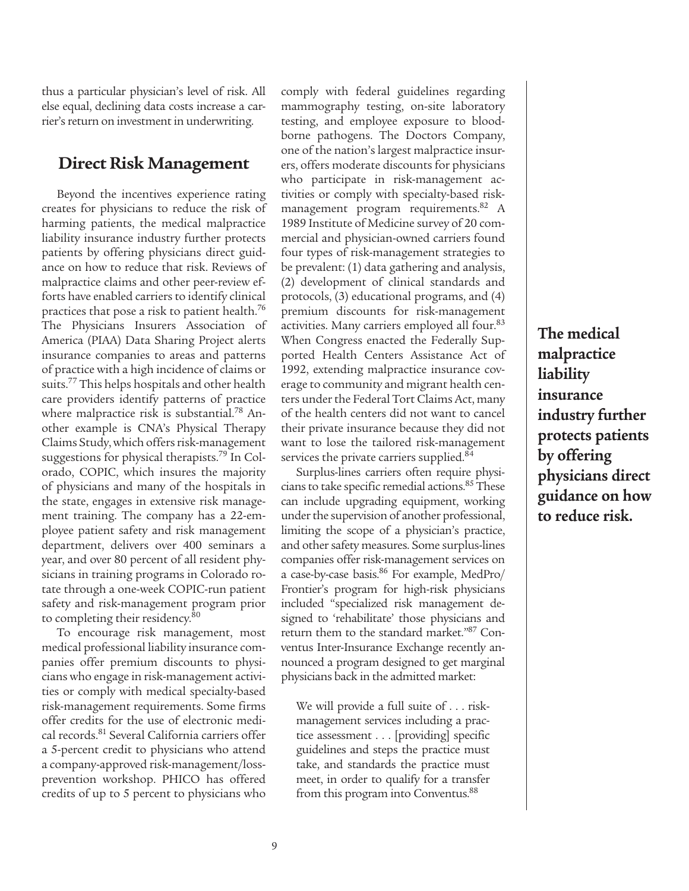thus a particular physician's level of risk. All else equal, declining data costs increase a carrier's return on investment in underwriting.

### **Direct Risk Management**

Beyond the incentives experience rating creates for physicians to reduce the risk of harming patients, the medical malpractice liability insurance industry further protects patients by offering physicians direct guidance on how to reduce that risk. Reviews of malpractice claims and other peer-review efforts have enabled carriers to identify clinical practices that pose a risk to patient health.<sup>76</sup> The Physicians Insurers Association of America (PIAA) Data Sharing Project alerts insurance companies to areas and patterns of practice with a high incidence of claims or suits.<sup>77</sup> This helps hospitals and other health care providers identify patterns of practice where malpractice risk is substantial.<sup>78</sup> Another example is CNA's Physical Therapy Claims Study, which offers risk-management suggestions for physical therapists.79 In Colorado, COPIC, which insures the majority of physicians and many of the hospitals in the state, engages in extensive risk management training. The company has a 22-employee patient safety and risk management department, delivers over 400 seminars a year, and over 80 percent of all resident physicians in training programs in Colorado rotate through a one-week COPIC-run patient safety and risk-management program prior to completing their residency.<sup>80</sup>

To encourage risk management, most medical professional liability insurance companies offer premium discounts to physicians who engage in risk-management activities or comply with medical specialty-based risk-management requirements. Some firms offer credits for the use of electronic medical records.<sup>81</sup> Several California carriers offer a 5-percent credit to physicians who attend a company-approved risk-management/lossprevention workshop. PHICO has offered credits of up to 5 percent to physicians who comply with federal guidelines regarding mammography testing, on-site laboratory testing, and employee exposure to bloodborne pathogens. The Doctors Company, one of the nation's largest malpractice insurers, offers moderate discounts for physicians who participate in risk-management activities or comply with specialty-based riskmanagement program requirements.<sup>82</sup> A 1989 Institute of Medicine survey of 20 commercial and physician-owned carriers found four types of risk-management strategies to be prevalent: (1) data gathering and analysis, (2) development of clinical standards and protocols, (3) educational programs, and (4) premium discounts for risk-management activities. Many carriers employed all four.<sup>83</sup> When Congress enacted the Federally Supported Health Centers Assistance Act of 1992, extending malpractice insurance coverage to community and migrant health centers under the Federal Tort Claims Act, many of the health centers did not want to cancel their private insurance because they did not want to lose the tailored risk-management services the private carriers supplied.<sup>84</sup>

Surplus-lines carriers often require physicians to take specific remedial actions.<sup>85</sup> These can include upgrading equipment, working under the supervision of another professional, limiting the scope of a physician's practice, and other safety measures. Some surplus-lines companies offer risk-management services on a case-by-case basis.86 For example, MedPro/ Frontier's program for high-risk physicians included "specialized risk management designed to 'rehabilitate' those physicians and return them to the standard market."87 Conventus Inter-Insurance Exchange recently announced a program designed to get marginal physicians back in the admitted market:

We will provide a full suite of . . . riskmanagement services including a practice assessment . . . [providing] specific guidelines and steps the practice must take, and standards the practice must meet, in order to qualify for a transfer from this program into Conventus.<sup>88</sup>

**The medical malpractice liability insurance industry further protects patients by offering physicians direct guidance on how to reduce risk.**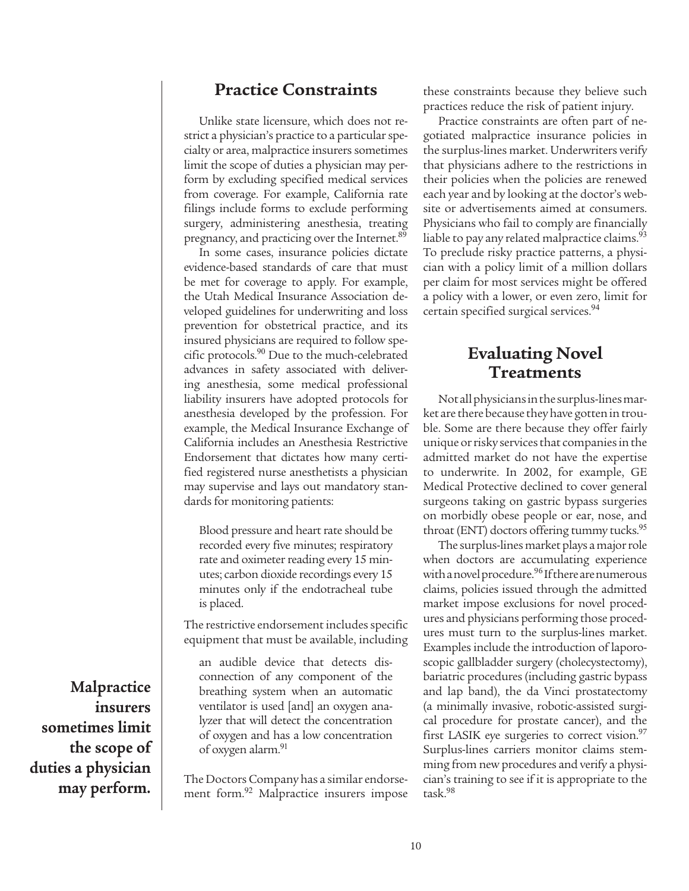### **Practice Constraints**

Unlike state licensure, which does not restrict a physician's practice to a particular specialty or area, malpractice insurers sometimes limit the scope of duties a physician may perform by excluding specified medical services from coverage. For example, California rate filings include forms to exclude performing surgery, administering anesthesia, treating pregnancy, and practicing over the Internet.<sup>89</sup>

In some cases, insurance policies dictate evidence-based standards of care that must be met for coverage to apply. For example, the Utah Medical Insurance Association developed guidelines for underwriting and loss prevention for obstetrical practice, and its insured physicians are required to follow specific protocols.<sup>90</sup> Due to the much-celebrated advances in safety associated with delivering anesthesia, some medical professional liability insurers have adopted protocols for anesthesia developed by the profession. For example, the Medical Insurance Exchange of California includes an Anesthesia Restrictive Endorsement that dictates how many certified registered nurse anesthetists a physician may supervise and lays out mandatory standards for monitoring patients:

Blood pressure and heart rate should be recorded every five minutes; respiratory rate and oximeter reading every 15 minutes; carbon dioxide recordings every 15 minutes only if the endotracheal tube is placed.

The restrictive endorsement includes specific equipment that must be available, including

an audible device that detects disconnection of any component of the breathing system when an automatic ventilator is used [and] an oxygen analyzer that will detect the concentration of oxygen and has a low concentration of oxygen alarm.<sup>91</sup>

The Doctors Company has a similar endorsement form.<sup>92</sup> Malpractice insurers impose these constraints because they believe such practices reduce the risk of patient injury.

Practice constraints are often part of negotiated malpractice insurance policies in the surplus-lines market. Underwriters verify that physicians adhere to the restrictions in their policies when the policies are renewed each year and by looking at the doctor's website or advertisements aimed at consumers. Physicians who fail to comply are financially liable to pay any related malpractice claims.<sup>93</sup> To preclude risky practice patterns, a physician with a policy limit of a million dollars per claim for most services might be offered a policy with a lower, or even zero, limit for certain specified surgical services.<sup>94</sup>

### **Evaluating Novel Treatments**

Not all physicians in the surplus-lines market are there because they have gotten in trouble. Some are there because they offer fairly unique or risky services that companies in the admitted market do not have the expertise to underwrite. In 2002, for example, GE Medical Protective declined to cover general surgeons taking on gastric bypass surgeries on morbidly obese people or ear, nose, and throat (ENT) doctors offering tummy tucks.<sup>95</sup>

The surplus-lines market plays a major role when doctors are accumulating experience with a novel procedure.<sup>96</sup> If there are numerous claims, policies issued through the admitted market impose exclusions for novel procedures and physicians performing those procedures must turn to the surplus-lines market. Examples include the introduction of laporoscopic gallbladder surgery (cholecystectomy), bariatric procedures (including gastric bypass and lap band), the da Vinci prostatectomy (a minimally invasive, robotic-assisted surgical procedure for prostate cancer), and the first LASIK eye surgeries to correct vision.<sup>97</sup> Surplus-lines carriers monitor claims stemming from new procedures and verify a physician's training to see if it is appropriate to the task.98

**Malpractice insurers sometimes limit the scope of duties a physician may perform.**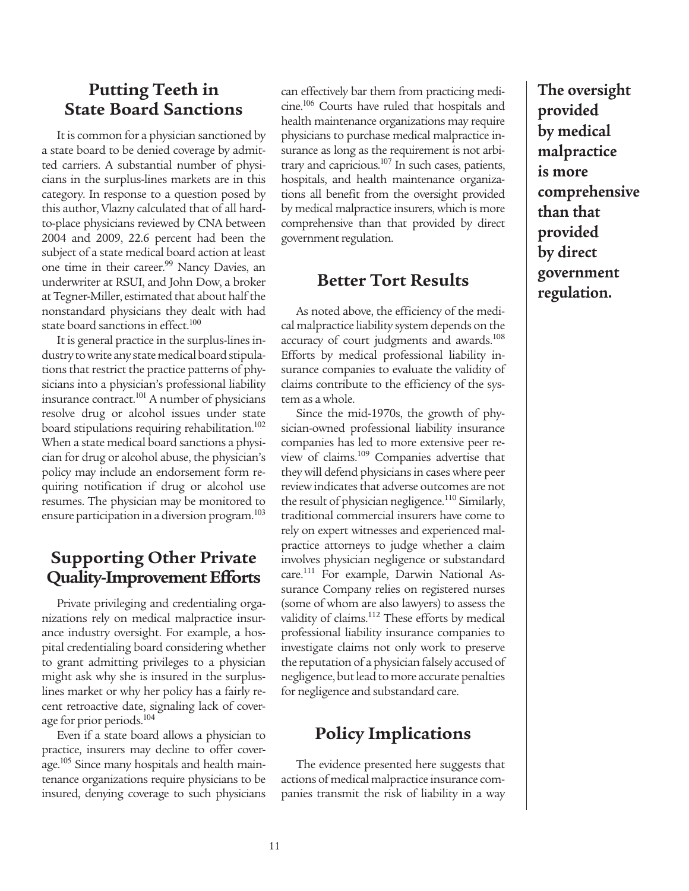### **Putting Teeth in State Board Sanctions**

It is common for a physician sanctioned by a state board to be denied coverage by admitted carriers. A substantial number of physicians in the surplus-lines markets are in this category. In response to a question posed by this author, Vlazny calculated that of all hardto-place physicians reviewed by CNA between 2004 and 2009, 22.6 percent had been the subject of a state medical board action at least one time in their career.<sup>99</sup> Nancy Davies, an underwriter at RSUI, and John Dow, a broker at Tegner-Miller, estimated that about half the nonstandard physicians they dealt with had state board sanctions in effect.<sup>100</sup>

It is general practice in the surplus-lines industry to write any state medical board stipulations that restrict the practice patterns of physicians into a physician's professional liability insurance contract.<sup>101</sup> A number of physicians resolve drug or alcohol issues under state board stipulations requiring rehabilitation.<sup>102</sup> When a state medical board sanctions a physician for drug or alcohol abuse, the physician's policy may include an endorsement form requiring notification if drug or alcohol use resumes. The physician may be monitored to ensure participation in a diversion program.<sup>103</sup>

# **Supporting Other Private Quality-Improvement Efforts**

Private privileging and credentialing organizations rely on medical malpractice insurance industry oversight. For example, a hospital credentialing board considering whether to grant admitting privileges to a physician might ask why she is insured in the surpluslines market or why her policy has a fairly recent retroactive date, signaling lack of coverage for prior periods.<sup>104</sup>

Even if a state board allows a physician to practice, insurers may decline to offer coverage.<sup>105</sup> Since many hospitals and health maintenance organizations require physicians to be insured, denying coverage to such physicians can effectively bar them from practicing medicine.<sup>106</sup> Courts have ruled that hospitals and health maintenance organizations may require physicians to purchase medical malpractice insurance as long as the requirement is not arbitrary and capricious.<sup>107</sup> In such cases, patients, hospitals, and health maintenance organizations all benefit from the oversight provided by medical malpractice insurers, which is more comprehensive than that provided by direct government regulation.

### **Better Tort Results**

As noted above, the efficiency of the medical malpractice liability system depends on the accuracy of court judgments and awards.<sup>108</sup> Efforts by medical professional liability insurance companies to evaluate the validity of claims contribute to the efficiency of the system as a whole.

Since the mid-1970s, the growth of physician-owned professional liability insurance companies has led to more extensive peer review of claims.<sup>109</sup> Companies advertise that they will defend physicians in cases where peer review indicates that adverse outcomes are not the result of physician negligence.<sup>110</sup> Similarly, traditional commercial insurers have come to rely on expert witnesses and experienced malpractice attorneys to judge whether a claim involves physician negligence or substandard care.111 For example, Darwin National Assurance Company relies on registered nurses (some of whom are also lawyers) to assess the validity of claims.<sup>112</sup> These efforts by medical professional liability insurance companies to investigate claims not only work to preserve the reputation of a physician falsely accused of negligence, but lead to more accurate penalties for negligence and substandard care.

## **Policy Implications**

The evidence presented here suggests that actions of medical malpractice insurance companies transmit the risk of liability in a way **The oversight provided by medical malpractice is more comprehensive than that provided by direct government regulation.**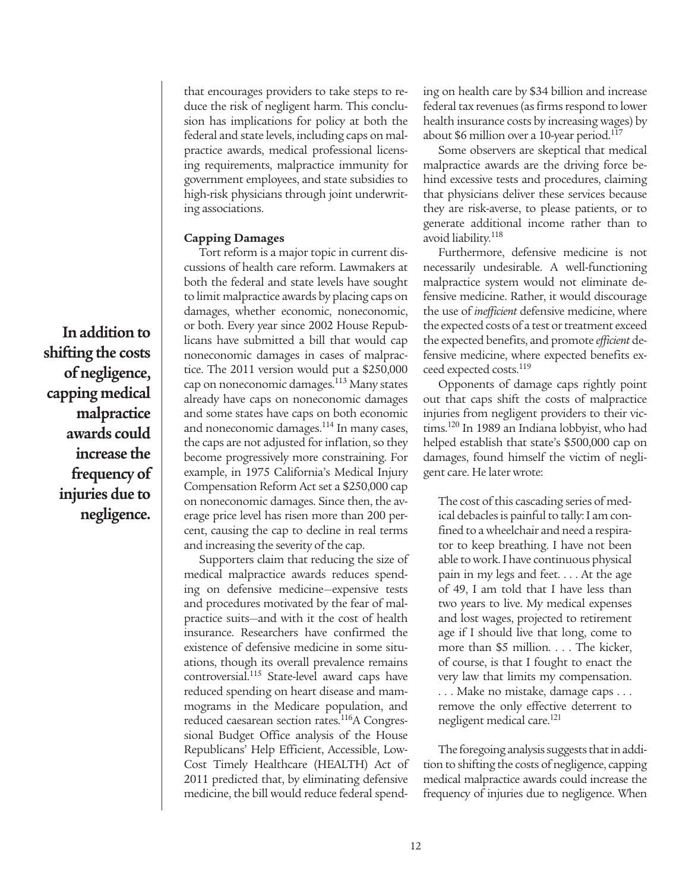that encourages providers to take steps to reduce the risk of negligent harm. This conclusion has implications for policy at both the federal and state levels, including caps on malpractice awards, medical professional licensing requirements, malpractice immunity for government employees, and state subsidies to high-risk physicians through joint underwriting associations.

#### **Capping Damages**

Tort reform is a major topic in current discussions of health care reform. Lawmakers at both the federal and state levels have sought to limit malpractice awards by placing caps on damages, whether economic, noneconomic, or both. Every year since 2002 House Republicans have submitted a bill that would cap noneconomic damages in cases of malpractice. The 2011 version would put a \$250,000 cap on noneconomic damages.<sup>113</sup> Many states already have caps on noneconomic damages and some states have caps on both economic and noneconomic damages.<sup>114</sup> In many cases, the caps are not adjusted for inflation, so they become progressively more constraining. For example, in 1975 California's Medical Injury Compensation Reform Act set a \$250,000 cap on noneconomic damages. Since then, the average price level has risen more than 200 percent, causing the cap to decline in real terms and increasing the severity of the cap.

Supporters claim that reducing the size of medical malpractice awards reduces spending on defensive medicine—expensive tests and procedures motivated by the fear of malpractice suits—and with it the cost of health insurance. Researchers have confirmed the existence of defensive medicine in some situations, though its overall prevalence remains controversial.115 State-level award caps have reduced spending on heart disease and mammograms in the Medicare population, and reduced caesarean section rates.<sup>116</sup>A Congressional Budget Office analysis of the House Republicans' Help Efficient, Accessible, Low-Cost Timely Healthcare (HEALTH) Act of 2011 predicted that, by eliminating defensive medicine, the bill would reduce federal spending on health care by \$34 billion and increase federal tax revenues (as firms respond to lower health insurance costs by increasing wages) by about \$6 million over a 10-year period.<sup>117</sup>

Some observers are skeptical that medical malpractice awards are the driving force behind excessive tests and procedures, claiming that physicians deliver these services because they are risk-averse, to please patients, or to generate additional income rather than to avoid liability.118

Furthermore, defensive medicine is not necessarily undesirable. A well-functioning malpractice system would not eliminate defensive medicine. Rather, it would discourage the use of *inefficient* defensive medicine, where the expected costs of a test or treatment exceed the expected benefits, and promote *efficient* defensive medicine, where expected benefits exceed expected costs.<sup>119</sup>

Opponents of damage caps rightly point out that caps shift the costs of malpractice injuries from negligent providers to their victims.<sup>120</sup> In 1989 an Indiana lobbyist, who had helped establish that state's \$500,000 cap on damages, found himself the victim of negligent care. He later wrote:

The cost of this cascading series of medical debacles is painful to tally: I am confined to a wheelchair and need a respirator to keep breathing. I have not been able to work. I have continuous physical pain in my legs and feet. . . . At the age of 49, I am told that I have less than two years to live. My medical expenses and lost wages, projected to retirement age if I should live that long, come to more than \$5 million. . . . The kicker, of course, is that I fought to enact the very law that limits my compensation. . . . Make no mistake, damage caps . . . remove the only effective deterrent to negligent medical care.<sup>121</sup>

The foregoing analysis suggests that in addition to shifting the costs of negligence, capping medical malpractice awards could increase the frequency of injuries due to negligence. When

**In addition to shifting the costs of negligence, capping medical malpractice awards could increase the frequency of injuries due to negligence.**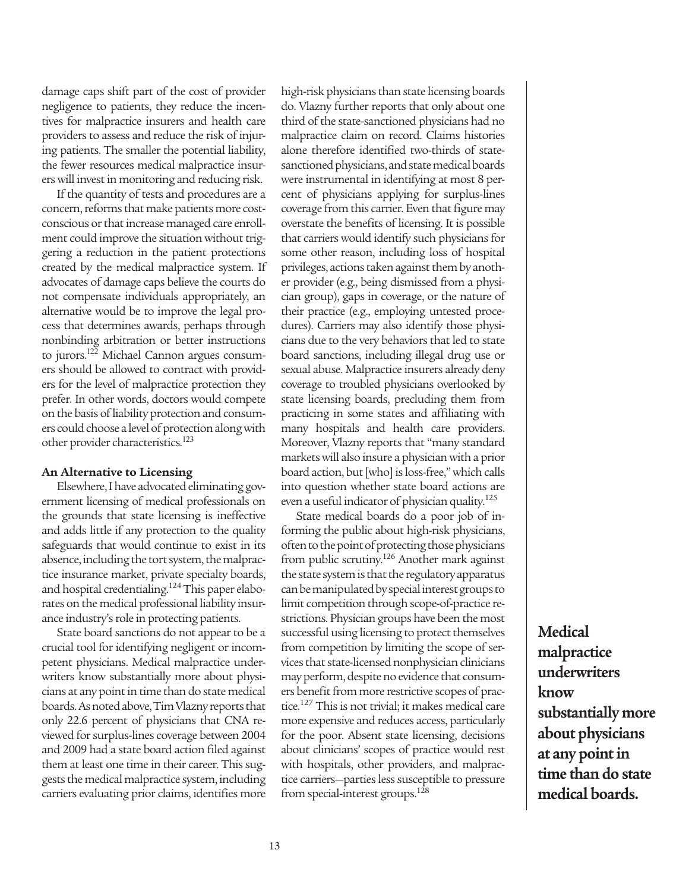damage caps shift part of the cost of provider negligence to patients, they reduce the incentives for malpractice insurers and health care providers to assess and reduce the risk of injuring patients. The smaller the potential liability, the fewer resources medical malpractice insurers will invest in monitoring and reducing risk.

If the quantity of tests and procedures are a concern, reforms that make patients more costconscious or that increase managed care enrollment could improve the situation without triggering a reduction in the patient protections created by the medical malpractice system. If advocates of damage caps believe the courts do not compensate individuals appropriately, an alternative would be to improve the legal process that determines awards, perhaps through nonbinding arbitration or better instructions to jurors.<sup>122</sup> Michael Cannon argues consumers should be allowed to contract with providers for the level of malpractice protection they prefer. In other words, doctors would compete on the basis of liability protection and consumers could choose a level of protection along with other provider characteristics.<sup>123</sup>

#### **An Alternative to Licensing**

Elsewhere, I have advocated eliminating government licensing of medical professionals on the grounds that state licensing is ineffective and adds little if any protection to the quality safeguards that would continue to exist in its absence, including the tort system, the malpractice insurance market, private specialty boards, and hospital credentialing.<sup>124</sup> This paper elaborates on the medical professional liability insurance industry's role in protecting patients.

State board sanctions do not appear to be a crucial tool for identifying negligent or incompetent physicians. Medical malpractice underwriters know substantially more about physicians at any point in time than do state medical boards. As noted above, Tim Vlazny reports that only 22.6 percent of physicians that CNA reviewed for surplus-lines coverage between 2004 and 2009 had a state board action filed against them at least one time in their career. This suggests the medical malpractice system, including carriers evaluating prior claims, identifies more high-risk physicians than state licensing boards do. Vlazny further reports that only about one third of the state-sanctioned physicians had no malpractice claim on record. Claims histories alone therefore identified two-thirds of statesanctioned physicians, and state medical boards were instrumental in identifying at most 8 percent of physicians applying for surplus-lines coverage from this carrier. Even that figure may overstate the benefits of licensing. It is possible that carriers would identify such physicians for some other reason, including loss of hospital privileges, actions taken against them by another provider (e.g., being dismissed from a physician group), gaps in coverage, or the nature of their practice (e.g., employing untested procedures). Carriers may also identify those physicians due to the very behaviors that led to state board sanctions, including illegal drug use or sexual abuse. Malpractice insurers already deny coverage to troubled physicians overlooked by state licensing boards, precluding them from practicing in some states and affiliating with many hospitals and health care providers. Moreover, Vlazny reports that "many standard markets will also insure a physician with a prior board action, but [who] is loss-free," which calls into question whether state board actions are even a useful indicator of physician quality.125

State medical boards do a poor job of informing the public about high-risk physicians, often to the point of protecting those physicians from public scrutiny.126 Another mark against the state system is that the regulatory apparatus can be manipulated by special interest groups to limit competition through scope-of-practice restrictions. Physician groups have been the most successful using licensing to protect themselves from competition by limiting the scope of services that state-licensed nonphysician clinicians may perform, despite no evidence that consumers benefit from more restrictive scopes of practice.127 This is not trivial; it makes medical care more expensive and reduces access, particularly for the poor. Absent state licensing, decisions about clinicians' scopes of practice would rest with hospitals, other providers, and malpractice carriers—parties less susceptible to pressure from special-interest groups.<sup>128</sup>

**Medical malpractice underwriters know substantially more about physicians at any point in time than do state medical boards.**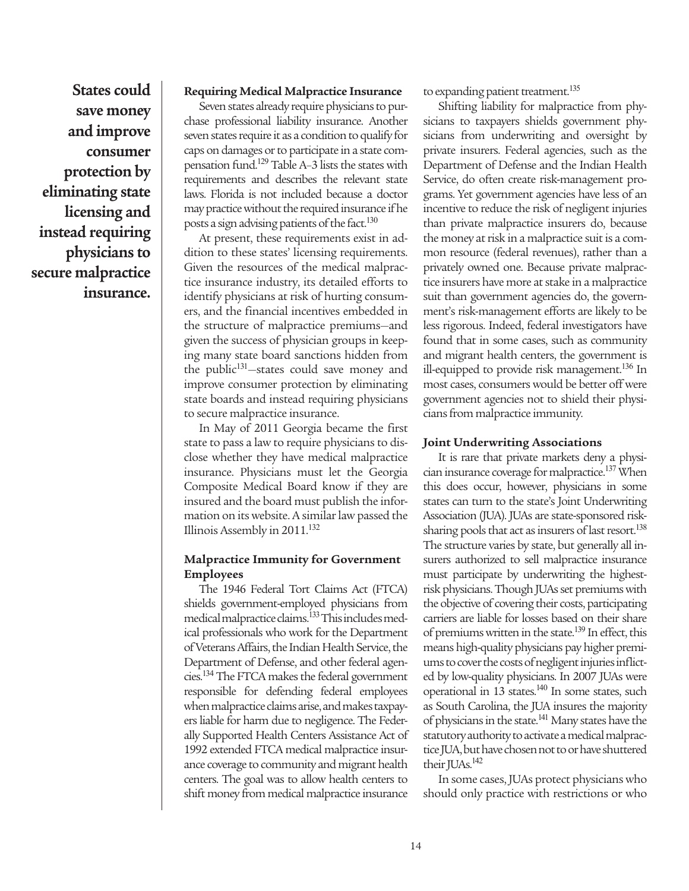**States could save money and improve consumer protection by eliminating state licensing and instead requiring physicians to secure malpractice insurance.** 

#### **Requiring Medical Malpractice Insurance**

Seven states already require physicians to purchase professional liability insurance. Another seven states require it as a condition to qualify for caps on damages or to participate in a state compensation fund.<sup>129</sup> Table A–3 lists the states with requirements and describes the relevant state laws. Florida is not included because a doctor may practice without the required insurance if he posts a sign advising patients of the fact.<sup>130</sup>

At present, these requirements exist in addition to these states' licensing requirements. Given the resources of the medical malpractice insurance industry, its detailed efforts to identify physicians at risk of hurting consumers, and the financial incentives embedded in the structure of malpractice premiums—and given the success of physician groups in keeping many state board sanctions hidden from the public<sup>131</sup>—states could save money and improve consumer protection by eliminating state boards and instead requiring physicians to secure malpractice insurance.

In May of 2011 Georgia became the first state to pass a law to require physicians to disclose whether they have medical malpractice insurance. Physicians must let the Georgia Composite Medical Board know if they are insured and the board must publish the information on its website. A similar law passed the Illinois Assembly in  $2011$ .<sup>132</sup>

#### **Malpractice Immunity for Government Employees**

The 1946 Federal Tort Claims Act (FTCA) shields government-employed physicians from medical malpractice claims.<sup>133</sup> This includes medical professionals who work for the Department of Veterans Affairs, the Indian Health Service, the Department of Defense, and other federal agencies.<sup>134</sup> The FTCA makes the federal government responsible for defending federal employees when malpractice claims arise, and makes taxpayers liable for harm due to negligence. The Federally Supported Health Centers Assistance Act of 1992 extended FTCA medical malpractice insurance coverage to community and migrant health centers. The goal was to allow health centers to shift money from medical malpractice insurance

to expanding patient treatment.<sup>135</sup>

Shifting liability for malpractice from physicians to taxpayers shields government physicians from underwriting and oversight by private insurers. Federal agencies, such as the Department of Defense and the Indian Health Service, do often create risk-management programs. Yet government agencies have less of an incentive to reduce the risk of negligent injuries than private malpractice insurers do, because the money at risk in a malpractice suit is a common resource (federal revenues), rather than a privately owned one. Because private malpractice insurers have more at stake in a malpractice suit than government agencies do, the government's risk-management efforts are likely to be less rigorous. Indeed, federal investigators have found that in some cases, such as community and migrant health centers, the government is ill-equipped to provide risk management.<sup>136</sup> In most cases, consumers would be better off were government agencies not to shield their physicians from malpractice immunity.

#### **Joint Underwriting Associations**

It is rare that private markets deny a physician insurance coverage for malpractice.<sup>137</sup> When this does occur, however, physicians in some states can turn to the state's Joint Underwriting Association (JUA). JUAs are state-sponsored risksharing pools that act as insurers of last resort.<sup>138</sup> The structure varies by state, but generally all insurers authorized to sell malpractice insurance must participate by underwriting the highestrisk physicians. Though JUAs set premiums with the objective of covering their costs, participating carriers are liable for losses based on their share of premiums written in the state.<sup>139</sup> In effect, this means high-quality physicians pay higher premiums to cover the costs of negligent injuries inflicted by low-quality physicians. In 2007 JUAs were operational in 13 states.<sup>140</sup> In some states, such as South Carolina, the JUA insures the majority of physicians in the state.<sup>141</sup> Many states have the statutory authority to activate a medical malpractice JUA, but have chosen not to or have shuttered their JUAs.<sup>142</sup>

In some cases, JUAs protect physicians who should only practice with restrictions or who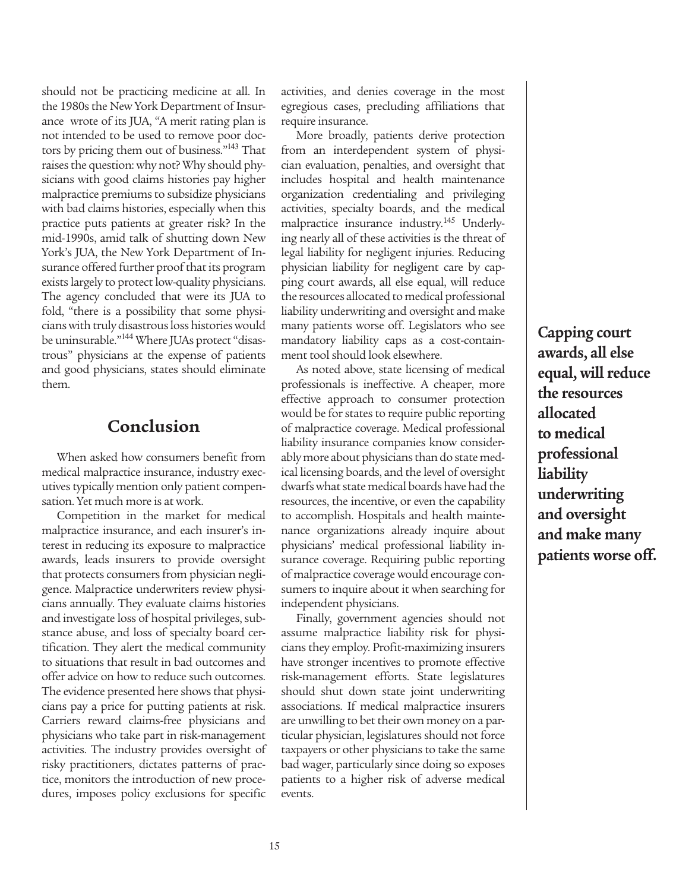should not be practicing medicine at all. In the 1980s the New York Department of Insurance wrote of its JUA, "A merit rating plan is not intended to be used to remove poor doctors by pricing them out of business."<sup>143</sup> That raises the question: why not? Why should physicians with good claims histories pay higher malpractice premiums to subsidize physicians with bad claims histories, especially when this practice puts patients at greater risk? In the mid-1990s, amid talk of shutting down New York's JUA, the New York Department of Insurance offered further proof that its program exists largely to protect low-quality physicians. The agency concluded that were its JUA to fold, "there is a possibility that some physicians with truly disastrous loss histories would be uninsurable."<sup>144</sup> Where JUAs protect "disastrous" physicians at the expense of patients and good physicians, states should eliminate them.

### **Conclusion**

When asked how consumers benefit from medical malpractice insurance, industry executives typically mention only patient compensation. Yet much more is at work.

Competition in the market for medical malpractice insurance, and each insurer's interest in reducing its exposure to malpractice awards, leads insurers to provide oversight that protects consumers from physician negligence. Malpractice underwriters review physicians annually. They evaluate claims histories and investigate loss of hospital privileges, substance abuse, and loss of specialty board certification. They alert the medical community to situations that result in bad outcomes and offer advice on how to reduce such outcomes. The evidence presented here shows that physicians pay a price for putting patients at risk. Carriers reward claims-free physicians and physicians who take part in risk-management activities. The industry provides oversight of risky practitioners, dictates patterns of practice, monitors the introduction of new procedures, imposes policy exclusions for specific activities, and denies coverage in the most egregious cases, precluding affiliations that require insurance.

More broadly, patients derive protection from an interdependent system of physician evaluation, penalties, and oversight that includes hospital and health maintenance organization credentialing and privileging activities, specialty boards, and the medical malpractice insurance industry.<sup>145</sup> Underlying nearly all of these activities is the threat of legal liability for negligent injuries. Reducing physician liability for negligent care by capping court awards, all else equal, will reduce the resources allocated to medical professional liability underwriting and oversight and make many patients worse off. Legislators who see mandatory liability caps as a cost-containment tool should look elsewhere.

As noted above, state licensing of medical professionals is ineffective. A cheaper, more effective approach to consumer protection would be for states to require public reporting of malpractice coverage. Medical professional liability insurance companies know considerably more about physicians than do state medical licensing boards, and the level of oversight dwarfs what state medical boards have had the resources, the incentive, or even the capability to accomplish. Hospitals and health maintenance organizations already inquire about physicians' medical professional liability insurance coverage. Requiring public reporting of malpractice coverage would encourage consumers to inquire about it when searching for independent physicians.

Finally, government agencies should not assume malpractice liability risk for physicians they employ. Profit-maximizing insurers have stronger incentives to promote effective risk-management efforts. State legislatures should shut down state joint underwriting associations. If medical malpractice insurers are unwilling to bet their own money on a particular physician, legislatures should not force taxpayers or other physicians to take the same bad wager, particularly since doing so exposes patients to a higher risk of adverse medical events.

**Capping court awards, all else equal, will reduce the resources allocated to medical professional liability underwriting and oversight and make many patients worse off.**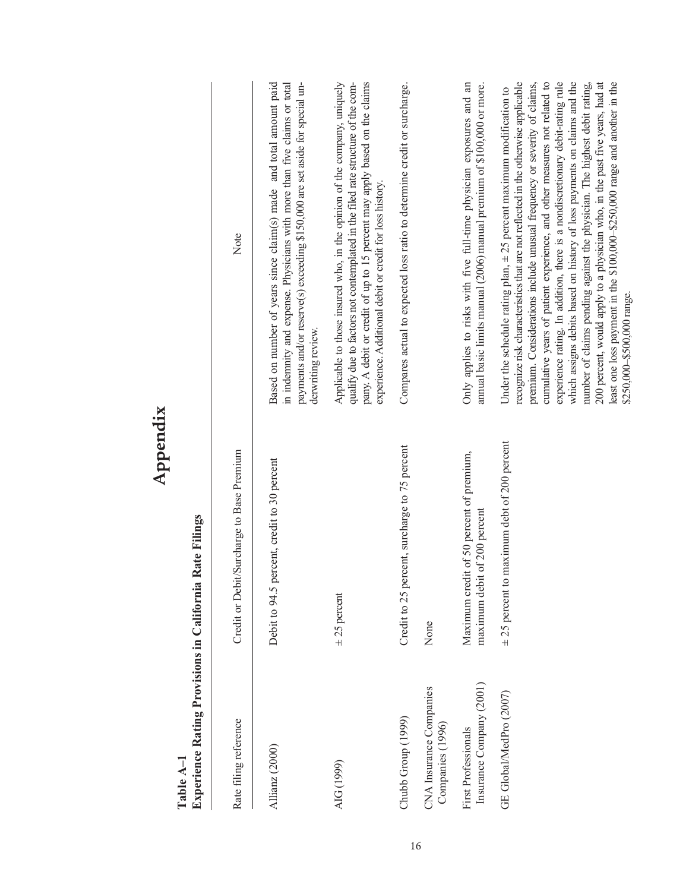|                                                                | Appendix                                                                 |                                                                                                                                                                                                                                                                                                                                                                                                                                                                                                                                                                                                                                                                                                                                                             |
|----------------------------------------------------------------|--------------------------------------------------------------------------|-------------------------------------------------------------------------------------------------------------------------------------------------------------------------------------------------------------------------------------------------------------------------------------------------------------------------------------------------------------------------------------------------------------------------------------------------------------------------------------------------------------------------------------------------------------------------------------------------------------------------------------------------------------------------------------------------------------------------------------------------------------|
| <b>Experience Rating Provisions in California</b><br>Table A-1 | Rate Filings                                                             |                                                                                                                                                                                                                                                                                                                                                                                                                                                                                                                                                                                                                                                                                                                                                             |
| Rate filing reference                                          | Credit or Debit/Surcharge to Base Premium                                | Note                                                                                                                                                                                                                                                                                                                                                                                                                                                                                                                                                                                                                                                                                                                                                        |
| Allianz (2000)                                                 | percent, credit to 30 percent<br>Debit to 94.5                           | Based on number of years since claim(s) made and total amount paid<br>payments and/or reserve(s) exceeding \$150,000 are set aside for special un-<br>in indemnity and expense. Physicians with more than five claims or total<br>derwriting review.                                                                                                                                                                                                                                                                                                                                                                                                                                                                                                        |
| AIG (1999)                                                     | $\pm 25$ percent                                                         | Applicable to those insured who, in the opinion of the company, uniquely<br>qualify due to factors not contemplated in the filed rate structure of the com-<br>pany. A debit or credit of up to 15 percent may apply based on the claims<br>experience. Additional debit or credit for loss history.                                                                                                                                                                                                                                                                                                                                                                                                                                                        |
| Chubb Group (1999)                                             | Credit to 25 percent, surcharge to 75 percent                            | Compares actual to expected loss ratio to determine credit or surcharge.                                                                                                                                                                                                                                                                                                                                                                                                                                                                                                                                                                                                                                                                                    |
| CNA Insurance Companies<br>Companies (1996)                    | None                                                                     |                                                                                                                                                                                                                                                                                                                                                                                                                                                                                                                                                                                                                                                                                                                                                             |
| Insurance Company (2001)<br>First Professionals                | Maximum credit of 50 percent of premium,<br>maximum debit of 200 percent | Only applies to risks with five full-time physician exposures and an<br>annual basic limits manual (2006) manual premium of \$100,000 or more.                                                                                                                                                                                                                                                                                                                                                                                                                                                                                                                                                                                                              |
| GE Global/MedPro (2007)                                        | $\pm$ 25 percent to maximum debt of 200 percent                          | recognize risk characteristics that are not reflected in the otherwise applicable<br>experience rating. In addition, there is a nondiscretionary debit-rating rule<br>which assigns debits based on history of loss payments on claims and the<br>cumulative years of patient experience, and other measures not related to<br>200 percent, would apply to a physician who, in the past five years, had at<br>least one loss payment in the \$100,000-\$250,000 range and another in the<br>premium. Considerations include unusual frequency or severity of claims,<br>number of claims pending against the physician. The highest debit rating,<br>Under the schedule rating plan, $\pm$ 25 percent maximum modification to<br>\$250,000-\$500,000 range. |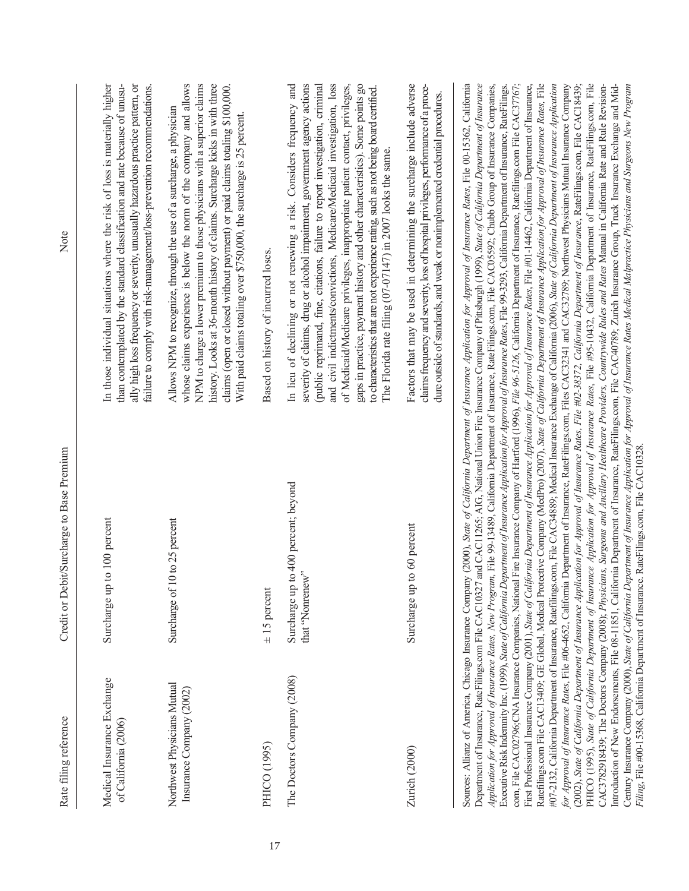| Rate filing reference                                   | Credit or Debit/Surcharge to Base Premium                                                   | Note                                                                                                                                                                                                                                                                                                                                                                                                                                                                                                                                                                                                                                                                                                                                                                                                                                                                                                                                                                                                                                                                                                                                                                                                                                                                                                                                                                                                                                                                                                                                                                                                                                                                                                                                                                                                                                                                                                                                                                                                                                                                                                                                                                                                                                                                                                                                                                                                                                                                                                                                                                                                                                |
|---------------------------------------------------------|---------------------------------------------------------------------------------------------|-------------------------------------------------------------------------------------------------------------------------------------------------------------------------------------------------------------------------------------------------------------------------------------------------------------------------------------------------------------------------------------------------------------------------------------------------------------------------------------------------------------------------------------------------------------------------------------------------------------------------------------------------------------------------------------------------------------------------------------------------------------------------------------------------------------------------------------------------------------------------------------------------------------------------------------------------------------------------------------------------------------------------------------------------------------------------------------------------------------------------------------------------------------------------------------------------------------------------------------------------------------------------------------------------------------------------------------------------------------------------------------------------------------------------------------------------------------------------------------------------------------------------------------------------------------------------------------------------------------------------------------------------------------------------------------------------------------------------------------------------------------------------------------------------------------------------------------------------------------------------------------------------------------------------------------------------------------------------------------------------------------------------------------------------------------------------------------------------------------------------------------------------------------------------------------------------------------------------------------------------------------------------------------------------------------------------------------------------------------------------------------------------------------------------------------------------------------------------------------------------------------------------------------------------------------------------------------------------------------------------------------|
| Medical Insurance Exchange<br>of California (2006)      | Surcharge up to 100 percent                                                                 | In those individual situations where the risk of loss is materially higher<br>than contemplated by the standard classification and rate because of unusu-<br>ally high loss frequency or severity, unusually hazardous practice pattern, or<br>failure to comply with risk-management/loss-prevention recommendations.                                                                                                                                                                                                                                                                                                                                                                                                                                                                                                                                                                                                                                                                                                                                                                                                                                                                                                                                                                                                                                                                                                                                                                                                                                                                                                                                                                                                                                                                                                                                                                                                                                                                                                                                                                                                                                                                                                                                                                                                                                                                                                                                                                                                                                                                                                              |
| Northwest Physicians Mutual<br>Insurance Company (2002) | $0$ to 25 percent<br>Surcharge of 1                                                         | whose claims experience is below the norm of the company and allows<br>NPM to charge a lower premium to those physicians with a superior claims<br>history. Looks at 36-month history of claims. Surcharge kicks in with three<br>claims (open or closed without payment) or paid claims totaling \$100,000.<br>Allows NPM to recognize, through the use of a surcharge, a physician<br>With paid claims totaling over \$750,000, the surcharge is 25 percent.                                                                                                                                                                                                                                                                                                                                                                                                                                                                                                                                                                                                                                                                                                                                                                                                                                                                                                                                                                                                                                                                                                                                                                                                                                                                                                                                                                                                                                                                                                                                                                                                                                                                                                                                                                                                                                                                                                                                                                                                                                                                                                                                                                      |
| PHICO (1995)                                            | $\pm$ 15 percent                                                                            | Based on history of incurred loses.                                                                                                                                                                                                                                                                                                                                                                                                                                                                                                                                                                                                                                                                                                                                                                                                                                                                                                                                                                                                                                                                                                                                                                                                                                                                                                                                                                                                                                                                                                                                                                                                                                                                                                                                                                                                                                                                                                                                                                                                                                                                                                                                                                                                                                                                                                                                                                                                                                                                                                                                                                                                 |
| The Doctors Company (2008)                              | to 400 percent; beyond<br>that "Nonrenew"<br>Surcharge up                                   | and civil indictments/convictions, Medicare/Medicaid investigation, loss<br>of Medicaid/Medicare privileges, inappropriate patient contact, privileges,<br>In lieu of declining or not renewing a risk. Considers frequency and<br>severity of claims, drug or alcohol impairment, government agency actions<br>gaps in practice, payment history and other characteristics). Some points go<br>(public reprimand, fine, citations, failure to report investigation, criminal<br>to characteristics that are not experience rating, such as not being board certified.<br>The Florida rate filing (07-07147) in 2007 looks the same.                                                                                                                                                                                                                                                                                                                                                                                                                                                                                                                                                                                                                                                                                                                                                                                                                                                                                                                                                                                                                                                                                                                                                                                                                                                                                                                                                                                                                                                                                                                                                                                                                                                                                                                                                                                                                                                                                                                                                                                                |
| Zurich (2000)                                           | to 60 percent<br>Surcharge up                                                               | Factors that may be used in determining the surcharge include adverse<br>claims frequency and severity, loss of hospital privileges, performance of a proce-<br>dure outside of standards, and weak or nonimplemented credential procedures.                                                                                                                                                                                                                                                                                                                                                                                                                                                                                                                                                                                                                                                                                                                                                                                                                                                                                                                                                                                                                                                                                                                                                                                                                                                                                                                                                                                                                                                                                                                                                                                                                                                                                                                                                                                                                                                                                                                                                                                                                                                                                                                                                                                                                                                                                                                                                                                        |
|                                                         | Filing, File #00-15368, California Department of Insurance. RateFilings.com, File CAC10328. | Sources: Allianz of America, Chicago Insurance Company (2000), State of California Department of Insurance Application for Approval of Insurance Rates, File 00-15362, California<br>com, File CAC02796;CNA Insurance Companies, National Fire Insurance Company of Hartford (1996), File 96-5126, California Department of Insurance, Ratefilings.com File CAC37767;<br>First Professional Insurance Company (2001), State of California Department of Insurance Application for Approval of Insurance Rates, File #01-14462, California Department of Insurance,<br>Ratefilings.com File CAC13409; GE Global, Medical Protective Company (MedPro) (2007), State of California Department of Insurance Application for Approval of Insurance Rates, File<br>#07-2132, California Department of Insurance, Ratefilings.com, File CAC34889; Medical Insurance Exchange of California (2006), State of California Department of Insurance Application<br>PHICO (1995), State of California Department of Insurance Application for Approval of Insurance Rates, File #95-10432, California Department of Insurance, RateFilings.com, File<br>Department of Insurance, RateFilings.com File CAC10327 and CAC11265; AIG, National Union Fire Insurance Company of Pittsburgh (1999), State of California Department of Insurance<br>Application for Approval of Insurance Rates, New Program, File 99-13489, California Department of Insurance, RateFilings.com, File CAC05592; Chubb Group of Insurance Companies,<br>Executive Risk Indemnity Inc. (1999), State of California Department of Insurance Application for Approval of Insurance Rates, File 99-3293, California Department of Insurance, RateFilings.<br>for Approval of Insurance Rates, File #06-4652, California Department of Insurance, RateFilings.com, Files CAC32341 and CAC32789; Northwest Physicians Mutual Insurance Company<br>CAC3782918439; The Doctors Company (2008); Physicians, Surgeons and Ancillary Healthcare Providers, Countrywide Rules and Rates Manual in California Rate and Rule Revision-<br>(2002), State of California Department of Insurance Application for Approval of Insurance Rates, File #02-38372, California Department of Insurance, RateFilings.com, File CAC18439;<br>Introduction of New Endorsements, File 08-11851, California Department of Insurance, RateFilings.com, File CAC40789; Zurich Insurance Group, Truck Insurance Exchange and Mid-<br>Century Insurance Company (2000), State of California Department of Insurance Approval of Insurance Rates Medical Malpractice Physicians and Surgeons New Program |

17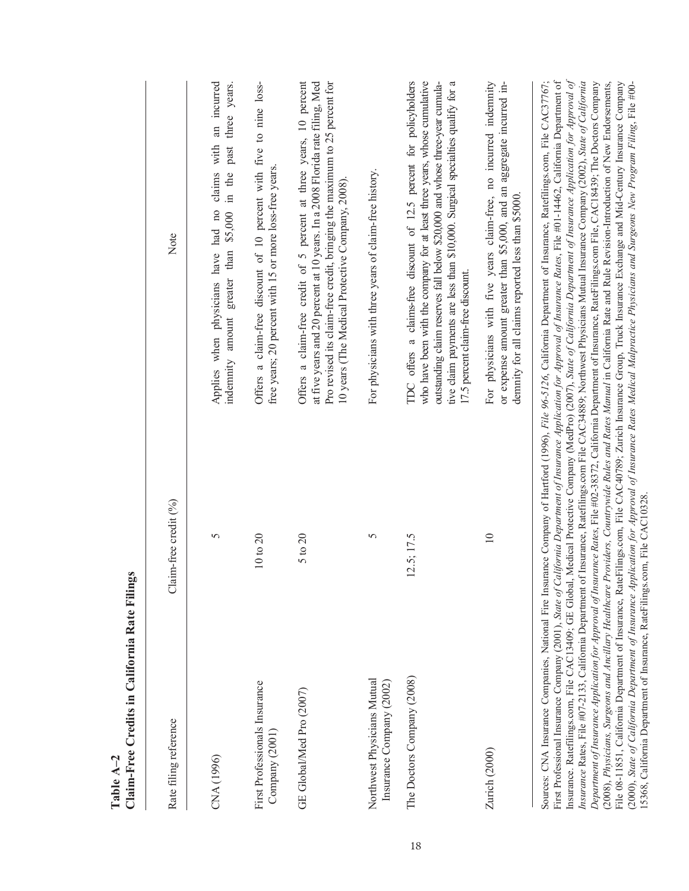| Rate filing reference                                                      | Claim-free credit (%) | Note                                                                                                                                                                                                                                                                                                                                                                                                                                                                                                                                                                                                                                                                                                                                                                                                                                                                                                                                                                                                                                                                                                                                                                                                                                                                                                                                                                                                                                       |
|----------------------------------------------------------------------------|-----------------------|--------------------------------------------------------------------------------------------------------------------------------------------------------------------------------------------------------------------------------------------------------------------------------------------------------------------------------------------------------------------------------------------------------------------------------------------------------------------------------------------------------------------------------------------------------------------------------------------------------------------------------------------------------------------------------------------------------------------------------------------------------------------------------------------------------------------------------------------------------------------------------------------------------------------------------------------------------------------------------------------------------------------------------------------------------------------------------------------------------------------------------------------------------------------------------------------------------------------------------------------------------------------------------------------------------------------------------------------------------------------------------------------------------------------------------------------|
| CNA(1996)                                                                  | 5                     | an incurred<br>three years.<br>past<br>with<br>Applies when physicians have had no claims<br>greater than \$5,000 in the<br>indemnity amount                                                                                                                                                                                                                                                                                                                                                                                                                                                                                                                                                                                                                                                                                                                                                                                                                                                                                                                                                                                                                                                                                                                                                                                                                                                                                               |
| First Professionals Insurance<br>Company (2001                             | 10 to 20              | Offers a claim-free discount of 10 percent with five to nine loss-<br>free years; 20 percent with 15 or more loss-free years.                                                                                                                                                                                                                                                                                                                                                                                                                                                                                                                                                                                                                                                                                                                                                                                                                                                                                                                                                                                                                                                                                                                                                                                                                                                                                                              |
| GE Global/Med Pro (2007)                                                   | 5 to 20               | Offers a claim-free credit of 5 percent at three years, 10 percent<br>Pro revised its claim-free credit, bringing the maximum to 25 percent for<br>at five years and 20 percent at 10 years. In a 2008 Florida rate filing, Med<br>10 years (The Medical Protective Company, 2008).                                                                                                                                                                                                                                                                                                                                                                                                                                                                                                                                                                                                                                                                                                                                                                                                                                                                                                                                                                                                                                                                                                                                                        |
| Northwest Physicians Mutual<br>Insurance Company (2002)                    | 5                     | For physicians with three years of claim-free history.                                                                                                                                                                                                                                                                                                                                                                                                                                                                                                                                                                                                                                                                                                                                                                                                                                                                                                                                                                                                                                                                                                                                                                                                                                                                                                                                                                                     |
| The Doctors Company (2008)                                                 | 12.5; 17.5            | TDC offers a claims-free discount of 12.5 percent for policyholders<br>tive claim payments are less than \$10,000. Surgical specialties qualify for a<br>who have been with the company for at least three years, whose cumulative<br>outstanding claim reserves fall below \$20,000 and whose three-year cumula-<br>17.5 percent claim-free discount.                                                                                                                                                                                                                                                                                                                                                                                                                                                                                                                                                                                                                                                                                                                                                                                                                                                                                                                                                                                                                                                                                     |
| Zurich (2000)                                                              | $\overline{10}$       | For physicians with five years claim-free, no incurred indemnity<br>or expense amount greater than \$5,000, and an aggregate incurred in-<br>demnity for all claims reported less than \$5000.                                                                                                                                                                                                                                                                                                                                                                                                                                                                                                                                                                                                                                                                                                                                                                                                                                                                                                                                                                                                                                                                                                                                                                                                                                             |
| 15368, California Department of Insurance, RateFilings.com, File CAC10328. |                       | Insurance. Ratefilings.com, File CAC13409; GE Global, Medical Protective Company (MedPro) (2007), State of California Department of Insurance Application for Approval of<br>First Professional Insurance Company (2001), State of California Department of Insurance Application for Approval of Insurance Rates, File #01-14462, California Department of<br>Sources: CNA Insurance Companies, National Fire Insurance Company of Hartford (1996), File 96-5126, California Department of Insurance, Ratefilings.com, File CAC37767;<br>Department of Insurance Application for Approval of Insurance Rates, File #02-38372, California Department of Insurance, RateFilings.com File, CAC18439; The Doctors Company<br>Insurance Rates, File #07-2133, California Department of Insurance, Ratefilings.com File CAC34889; Northwest Physicians Mutual Insurance Company (2002), State of California<br>File 08-11851, California Department of Insurance, RateFilings.com, File CAC40789; Zurich Insurance Group, Truck Insurance Exchange and Mid-Century Insurance Company<br>(2008), Physicians, Surgeons and Ancillary Healthcare Providers, Countrywide Rules and Rates Manual in California Rate and Rule Revision-Introduction of New Endorsements,<br>(2000), State of California Department of Insurance Application for Approval of Insurance Rates Medical Malpractice Physicians and Surgeons New Program Filing, File #00- |

Table A<sub>-2</sub> **Table A–2**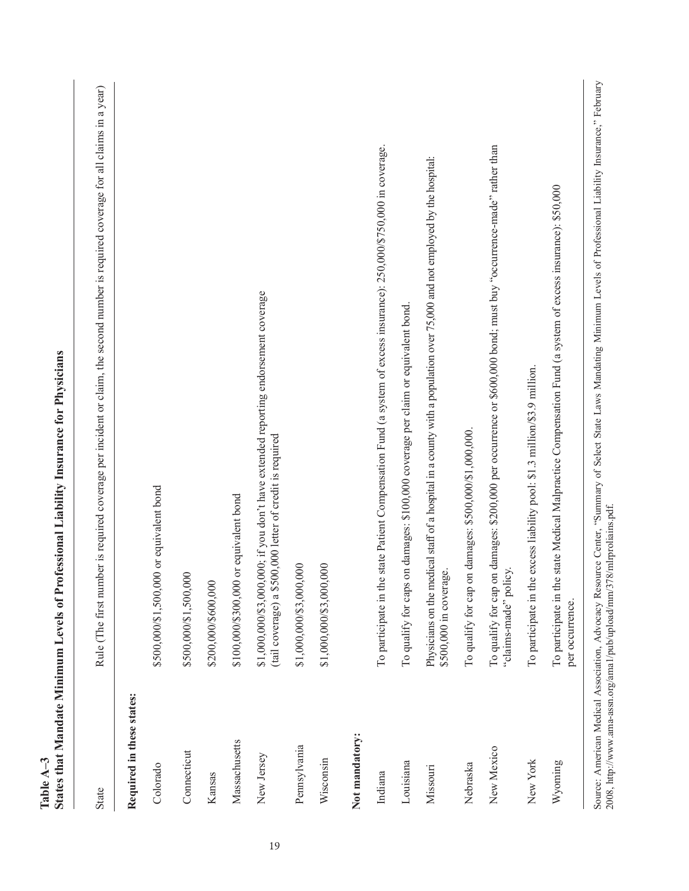| <b>State</b>              | Rule (The first number is required coverage per incident or claim, the second number is required coverage for all claims in a year)                                                                                                  |
|---------------------------|--------------------------------------------------------------------------------------------------------------------------------------------------------------------------------------------------------------------------------------|
| Required in these states: |                                                                                                                                                                                                                                      |
| Colorado                  | \$500,000/\$1,500,000 or equivalent bond                                                                                                                                                                                             |
| Connecticut               | \$500,000/\$1,500,000                                                                                                                                                                                                                |
| Kansas                    | \$200,000/\$600,000                                                                                                                                                                                                                  |
| Massachusetts             | \$100,000/\$300,000 or equivalent bond                                                                                                                                                                                               |
| New Jersey                | \$1,000,000/\$3,000,000; if you don't have extended reporting endorsement coverage<br>(tail coverage) a \$500,000 letter of credit is required                                                                                       |
| Pennsylvania              | \$1,000,000/\$3,000,000                                                                                                                                                                                                              |
| Wisconsin                 | \$1,000,000/\$3,000,000                                                                                                                                                                                                              |
| Not mandatory:            |                                                                                                                                                                                                                                      |
| Indiana                   | state Patient Compensation Fund (a system of excess insurance): 250,000/\$750,000 in coverage.<br>To participate in the                                                                                                              |
| Louisiana                 | To qualify for caps on damages: \$100,000 coverage per claim or equivalent bond                                                                                                                                                      |
| Missouri                  | Physicians on the medical staff of a hospital in a county with a population over 75,000 and not employed by the hospital:<br>\$500,000 in coverage.                                                                                  |
| Nebraska                  | To qualify for cap on damages: \$500,000/\$1,000,000.                                                                                                                                                                                |
| New Mexico                | To qualify for cap on damages: \$200,000 per occurrence or \$600,000 bond; must buy "occurrence-made" rather than<br>"claims-made" policy.                                                                                           |
| New York                  | excess liability pool: \$1.3 million/\$3.9 million.<br>To participate in the                                                                                                                                                         |
| Wyoming                   | state Medical Malpractice Compensation Fund (a system of excess insurance): \$50,000<br>To participate in the<br>per occurrence.                                                                                                     |
| <b>2000 Little:</b> //-   | Source: American Medical Association, Advocacy Resource Center, "Summary of Select State Laws Mandating Minimum Levels of Professional Liability Insurance," February<br>an nadf<br>فحذا مسمارهما 200 مسمرا الممراة وسيارة والمسارعة |

**Table A–3**

**States that Mandate Minimum Levels of Professional Liability Insurance for Physicians**

Table A-3<br>States that Mandate Minimum Levels of Professional Liability Insurance for Physicians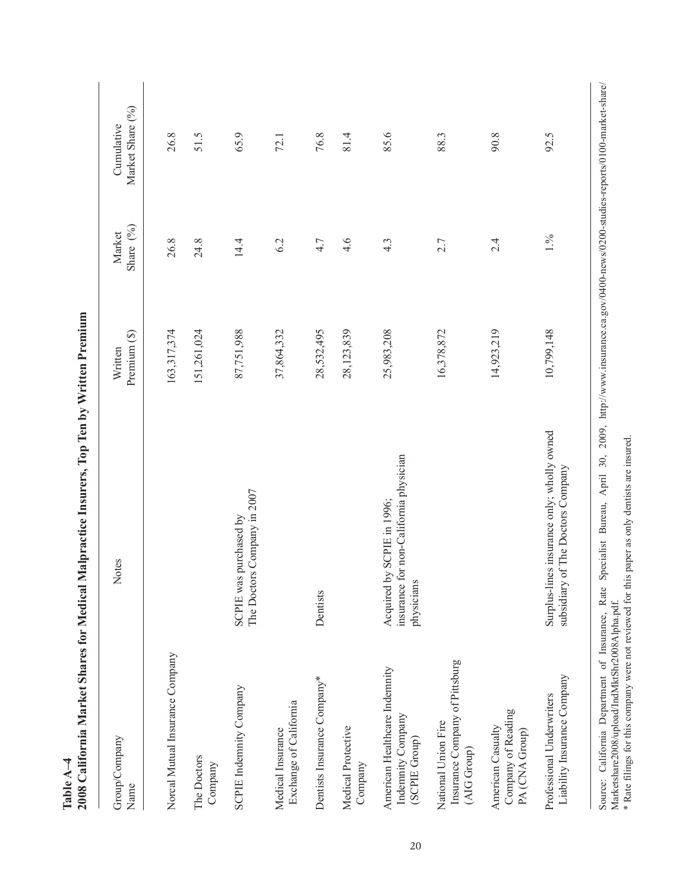| <b>ZUUS CALITOrnia Market Shares for Medical</b>                     | Maipractice Insurers, 10p 1en by Written Fremium                                   |                         |                       |                                |
|----------------------------------------------------------------------|------------------------------------------------------------------------------------|-------------------------|-----------------------|--------------------------------|
| Group/Company<br>Name                                                | Notes                                                                              | Premium (\$)<br>Written | Share $(%)$<br>Market | Market Share (%)<br>Cumulative |
| Norcal Mutual Insurance Company                                      |                                                                                    | 163,317,374             | 26.8                  | 26.8                           |
| The Doctors<br>Company                                               |                                                                                    | 151,261,024             | 24.8                  | 51.5                           |
| SCPIE Indemnity Company                                              | The Doctors Company in 2007<br>SCPIE was purchased by                              | 87,751,988              | 14.4                  | 65.9                           |
| Exchange of California<br>Medical Insurance                          |                                                                                    | 37,864,332              | 6.2                   | 72.1                           |
| Dentists Insurance Company*                                          | Dentists                                                                           | 28,532,495              | 4.7                   | 76.8                           |
| Medical Protective<br>Company                                        |                                                                                    | 28,123,839              | 4.6                   | 81.4                           |
| American Healthcare Indemnity<br>Indemnity Company<br>(SCPIE Group)  | insurance for non-California physician<br>Acquired by SCPIE in 1996;<br>physicians | 25,983,208              | $4.\overline{3}$      | 85.6                           |
| Insurance Company of Pittsburg<br>National Union Fire<br>(AIG Group) |                                                                                    | 16,378,872              | 2.7                   | 88.3                           |
| Company of Reading<br>American Casualty<br>PA (CNA Group)            |                                                                                    | 14,923,219              | 2.4                   | 90.8                           |
| Liability Insurance Company<br>Professional Underwriters             | Surplus-lines insurance only; wholly owned<br>subsidiary of The Doctors Company    | 10,799,148              | 1.%                   | 92.5                           |

**2008 California Market Shares for Medical Malpractice Insurers, Top Ten by Written Premium** ÷  $\Delta$  $\overline{\mathbf{W}}$  with  $\overline{\mathbf{w}}$ Á  $\epsilon$  $\mathbf{f}$ ١,  $\div$ Medical Maln  $f_{\alpha}$ io Morizat Shi  $Table A-4  
2008 Caifor$ **Table A–4**

Source: California Department of Insurance, Rate Specialist Bureau, April 30, 2009, http://www.insurance.ca.gov/0400-news/0200-studies-reports/0100-market-share/<br>Marketshare2008/upload/IndMktShr2008Alpha.pdf.<br>\* Rate filing Source: California Department of Insurance, Rate Specialist Bureau, April 30, 2009, http://www.insurance.ca.gov/0400-news/0200-studies-reports/0100-market-share/ \* Rate filings for this company were not reviewed for this paper as only dentists are insured.Marketshare2008/upload/IndMktShr2008Alpha.pdf.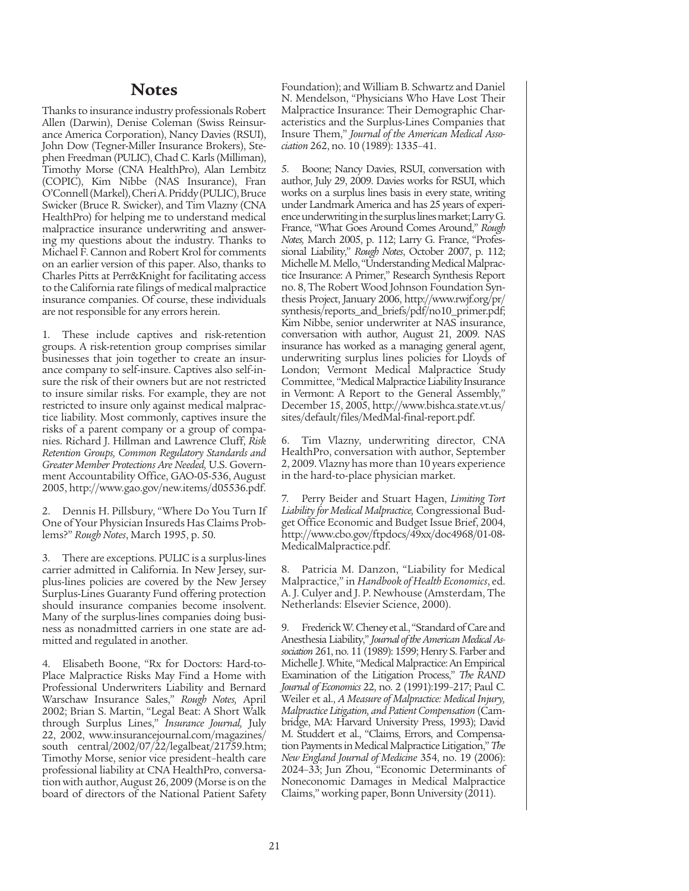#### **Notes**

Thanks to insurance industry professionals Robert Allen (Darwin), Denise Coleman (Swiss Reinsurance America Corporation), Nancy Davies (RSUI), John Dow (Tegner-Miller Insurance Brokers), Stephen Freedman (PULIC), Chad C. Karls (Milliman), Timothy Morse (CNA HealthPro), Alan Lembitz (COPIC), Kim Nibbe (NAS Insurance), Fran O'Connell (Markel), Cheri A. Priddy (PULIC), Bruce Swicker (Bruce R. Swicker), and Tim Vlazny (CNA HealthPro) for helping me to understand medical malpractice insurance underwriting and answering my questions about the industry. Thanks to Michael F. Cannon and Robert Krol for comments on an earlier version of this paper. Also, thanks to Charles Pitts at Perr&Knight for facilitating access to the California rate filings of medical malpractice insurance companies. Of course, these individuals are not responsible for any errors herein.

1. These include captives and risk-retention groups. A risk-retention group comprises similar businesses that join together to create an insurance company to self-insure. Captives also self-insure the risk of their owners but are not restricted to insure similar risks. For example, they are not restricted to insure only against medical malpractice liability. Most commonly, captives insure the risks of a parent company or a group of companies. Richard J. Hillman and Lawrence Cluff, *Risk Retention Groups, Common Regulatory Standards and Greater Member Protections Are Needed,* U.S. Government Accountability Office, GAO-05-536, August 2005, http://www.gao.gov/new.items/d05536.pdf.

2. Dennis H. Pillsbury, "Where Do You Turn If One of Your Physician Insureds Has Claims Problems?" *Rough Notes*, March 1995, p. 50.

3. There are exceptions. PULIC is a surplus-lines carrier admitted in California. In New Jersey, surplus-lines policies are covered by the New Jersey Surplus-Lines Guaranty Fund offering protection should insurance companies become insolvent. Many of the surplus-lines companies doing business as nonadmitted carriers in one state are admitted and regulated in another.

4. Elisabeth Boone, "Rx for Doctors: Hard-to-Place Malpractice Risks May Find a Home with Professional Underwriters Liability and Bernard Warschaw Insurance Sales," *Rough Notes,* April 2002; Brian S. Martin, "Legal Beat: A Short Walk through Surplus Lines," *Insurance Journal,* July 22, 2002, www.insurancejournal.com/magazines/ south central/2002/07/22/legalbeat/21759.htm; Timothy Morse, senior vice president–health care professional liability at CNA HealthPro, conversation with author, August 26, 2009 (Morse is on the board of directors of the National Patient Safety Foundation); and William B. Schwartz and Daniel N. Mendelson, "Physicians Who Have Lost Their Malpractice Insurance: Their Demographic Characteristics and the Surplus-Lines Companies that Insure Them," *Journal of the American Medical Association* 262, no. 10 (1989): 1335–41.

5. Boone; Nancy Davies, RSUI, conversation with author, July 29, 2009. Davies works for RSUI, which works on a surplus lines basis in every state, writing under Landmark America and has 25 years of experience underwriting in the surplus lines market; Larry G. France, "What Goes Around Comes Around," *Rough Notes,* March 2005, p. 112; Larry G. France, "Professional Liability," *Rough Notes*, October 2007, p. 112; Michelle M. Mello, "Understanding Medical Malpractice Insurance: A Primer," Research Synthesis Report no. 8, The Robert Wood Johnson Foundation Synthesis Project, January 2006, http://www.rwjf.org/pr/ synthesis/reports\_and\_briefs/pdf/no10\_primer.pdf; Kim Nibbe, senior underwriter at NAS insurance, conversation with author, August 21, 2009. NAS insurance has worked as a managing general agent, underwriting surplus lines policies for Lloyds of London; Vermont Medical Malpractice Study Committee, "Medical Malpractice Liability Insurance in Vermont: A Report to the General Assembly," December 15, 2005, http://www.bishca.state.vt.us/ sites/default/files/MedMal-final-report.pdf.

6. Tim Vlazny, underwriting director, CNA HealthPro, conversation with author, September 2, 2009. Vlazny has more than 10 years experience in the hard-to-place physician market.

7. Perry Beider and Stuart Hagen, *Limiting Tort Liability for Medical Malpractice,* Congressional Budget Office Economic and Budget Issue Brief, 2004, http://www.cbo.gov/ftpdocs/49xx/doc4968/01-08- MedicalMalpractice.pdf.

8. Patricia M. Danzon, "Liability for Medical Malpractice," in *Handbook of Health Economics*, ed. A. J. Culyer and J. P. Newhouse (Amsterdam, The Netherlands: Elsevier Science, 2000).

9. Frederick W. Cheney et al., "Standard of Care and Anesthesia Liability," *Journal of the American Medical Association* 261, no. 11 (1989): 1599; Henry S. Farber and Michelle J. White, "Medical Malpractice: An Empirical Examination of the Litigation Process," *The RAND Journal of Economics* 22, no. 2 (1991):199–217; Paul C. Weiler et al., *A Measure of Malpractice: Medical Injury, Malpractice Litigation, and Patient Compensation* (Cambridge, MA: Harvard University Press, 1993); David M. Studdert et al., "Claims, Errors, and Compensation Payments in Medical Malpractice Litigation," *The New England Journal of Medicine* 354, no. 19 (2006): 2024–33; Jun Zhou, "Economic Determinants of Noneconomic Damages in Medical Malpractice Claims," working paper, Bonn University (2011).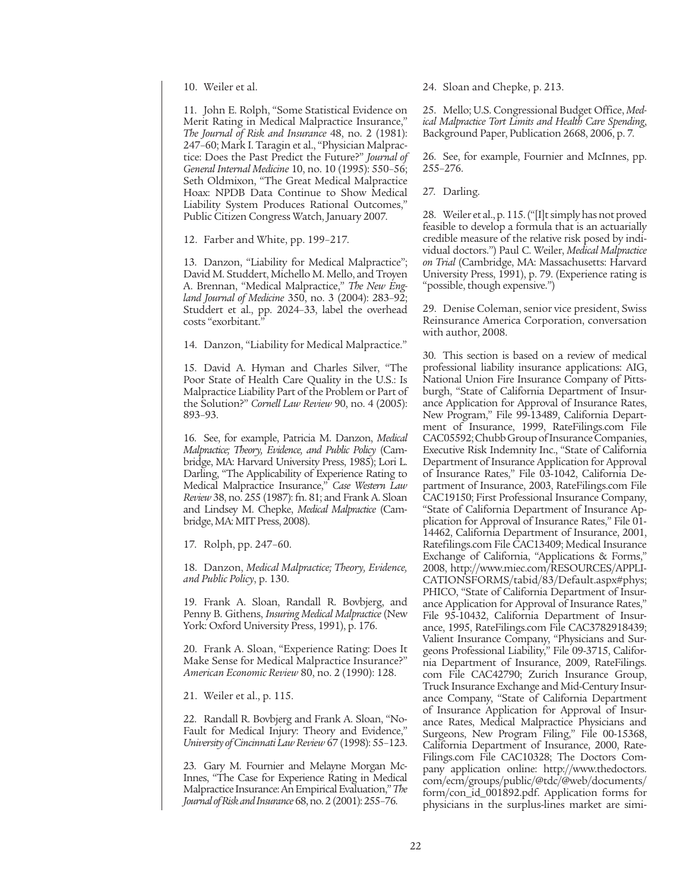10. Weiler et al.

11. John E. Rolph, "Some Statistical Evidence on Merit Rating in Medical Malpractice Insurance," *The Journal of Risk and Insurance* 48, no. 2 (1981): 247–60; Mark I. Taragin et al., "Physician Malpractice: Does the Past Predict the Future?" *Journal of General Internal Medicine* 10, no. 10 (1995): 550–56; Seth Oldmixon, "The Great Medical Malpractice Hoax: NPDB Data Continue to Show Medical Liability System Produces Rational Outcomes," Public Citizen Congress Watch, January 2007.

12. Farber and White, pp. 199–217.

13. Danzon, "Liability for Medical Malpractice"; David M. Studdert, Michello M. Mello, and Troyen A. Brennan, "Medical Malpractice," *The New England Journal of Medicine* 350, no. 3 (2004): 283–92; Studdert et al., pp. 2024–33, label the overhead costs "exorbitant."

14. Danzon, "Liability for Medical Malpractice."

15. David A. Hyman and Charles Silver, "The Poor State of Health Care Quality in the U.S.: Is Malpractice Liability Part of the Problem or Part of the Solution?" *Cornell Law Review* 90, no. 4 (2005): 893–93.

16. See, for example, Patricia M. Danzon, *Medical Malpractice; Theory, Evidence, and Public Policy* (Cambridge, MA: Harvard University Press, 1985); Lori L. Darling, "The Applicability of Experience Rating to Medical Malpractice Insurance," *Case Western Law Review* 38, no. 255 (1987): fn. 81; and Frank A. Sloan and Lindsey M. Chepke, *Medical Malpractice* (Cambridge, MA: MIT Press, 2008).

17. Rolph, pp. 247–60.

18. Danzon, *Medical Malpractice; Theory, Evidence, and Public Policy*, p. 130.

19. Frank A. Sloan, Randall R. Bovbjerg, and Penny B. Githens, *Insuring Medical Malpractice* (New York: Oxford University Press, 1991), p. 176.

20. Frank A. Sloan, "Experience Rating: Does It Make Sense for Medical Malpractice Insurance?" *American Economic Review* 80, no. 2 (1990): 128.

21. Weiler et al., p. 115.

22. Randall R. Bovbjerg and Frank A. Sloan, "No-Fault for Medical Injury: Theory and Evidence," *University of Cincinnati Law Review* 67 (1998): 55–123.

23. Gary M. Fournier and Melayne Morgan Mc-Innes, "The Case for Experience Rating in Medical Malpractice Insurance: An Empirical Evaluation," *The Journal of Risk and Insurance* 68, no. 2 (2001): 255–76.

24. Sloan and Chepke, p. 213.

25. Mello; U.S. Congressional Budget Office, *Medical Malpractice Tort Limits and Health Care Spending*, Background Paper, Publication 2668, 2006, p. 7.

26. See, for example, Fournier and McInnes, pp. 255–276.

27. Darling.

28. Weiler et al., p. 115. ("[I]t simply has not proved feasible to develop a formula that is an actuarially credible measure of the relative risk posed by individual doctors.") Paul C. Weiler, *Medical Malpractice on Trial* (Cambridge, MA: Massachusetts: Harvard University Press, 1991), p. 79. (Experience rating is "possible, though expensive.")

29. Denise Coleman, senior vice president, Swiss Reinsurance America Corporation, conversation with author, 2008.

30. This section is based on a review of medical professional liability insurance applications: AIG, National Union Fire Insurance Company of Pittsburgh, "State of California Department of Insurance Application for Approval of Insurance Rates, New Program," File 99-13489, California Department of Insurance, 1999, RateFilings.com File CAC05592; Chubb Group of Insurance Companies, Executive Risk Indemnity Inc., "State of California Department of Insurance Application for Approval of Insurance Rates," File 03-1042, California Department of Insurance, 2003, RateFilings.com File CAC19150; First Professional Insurance Company, "State of California Department of Insurance Application for Approval of Insurance Rates," File 01- 14462, California Department of Insurance, 2001, Ratefilings.com File CAC13409; Medical Insurance Exchange of California, "Applications & Forms," 2008, http://www.miec.com/RESOURCES/APPLI-CATIONSFORMS/tabid/83/Default.aspx#phys; PHICO, "State of California Department of Insurance Application for Approval of Insurance Rates," File 95-10432, California Department of Insurance, 1995, RateFilings.com File CAC3782918439; Valient Insurance Company, "Physicians and Surgeons Professional Liability," File 09-3715, California Department of Insurance, 2009, RateFilings. com File CAC42790; Zurich Insurance Group, Truck Insurance Exchange and Mid-Century Insurance Company, "State of California Department of Insurance Application for Approval of Insurance Rates, Medical Malpractice Physicians and Surgeons, New Program Filing," File 00-15368, California Department of Insurance, 2000, Rate-Filings.com File CAC10328; The Doctors Company application online: http://www.thedoctors. com/ecm/groups/public/@tdc/@web/documents/ form/con\_id\_001892.pdf. Application forms for physicians in the surplus-lines market are simi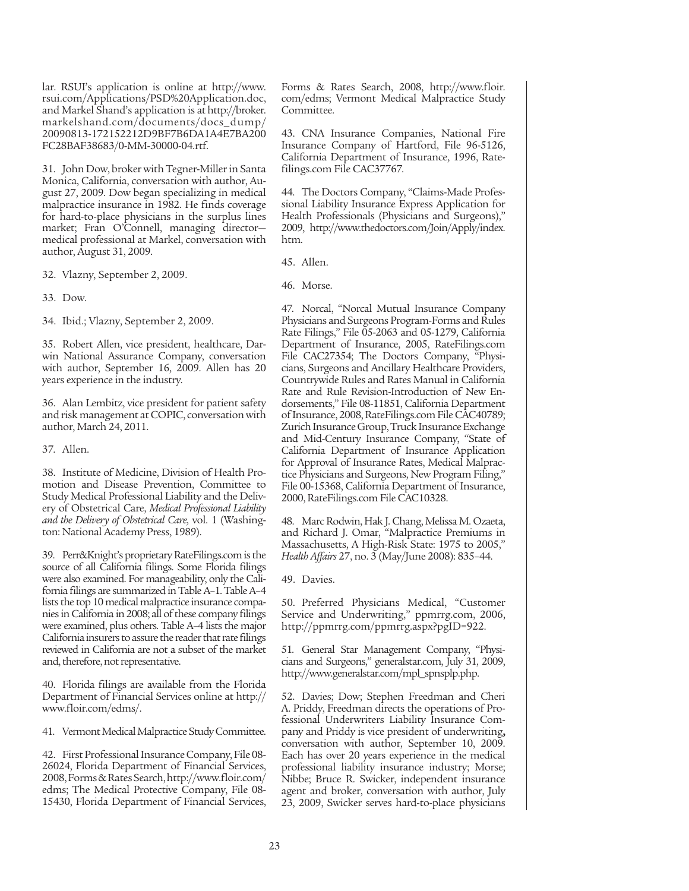lar. RSUI's application is online at http://www. rsui.com/Applications/PSD%20Application.doc, and Markel Shand's application is at http://broker. markelshand.com/documents/docs\_dump/ 20090813-172152212D9BF7B6DA1A4E7BA200 FC28BAF38683/0-MM-30000-04.rtf.

31. John Dow, broker with Tegner-Miller in Santa Monica, California, conversation with author, August 27, 2009. Dow began specializing in medical malpractice insurance in 1982. He finds coverage for hard-to-place physicians in the surplus lines market; Fran O'Connell, managing director medical professional at Markel, conversation with author, August 31, 2009.

32. Vlazny, September 2, 2009.

33. Dow.

34. Ibid.; Vlazny, September 2, 2009.

35. Robert Allen, vice president, healthcare, Darwin National Assurance Company, conversation with author, September 16, 2009. Allen has 20 years experience in the industry.

36. Alan Lembitz, vice president for patient safety and risk management at COPIC, conversation with author, March 24, 2011.

37. Allen.

38. Institute of Medicine, Division of Health Promotion and Disease Prevention, Committee to Study Medical Professional Liability and the Delivery of Obstetrical Care, *Medical Professional Liability and the Delivery of Obstetrical Care,* vol. 1 (Washington: National Academy Press, 1989).

39. Perr&Knight's proprietary RateFilings.com is the source of all California filings. Some Florida filings were also examined. For manageability, only the California filings are summarized in Table A–1. Table A–4 lists the top 10 medical malpractice insurance companies in California in 2008; all of these company filings were examined, plus others. Table A–4 lists the major California insurers to assure the reader that rate filings reviewed in California are not a subset of the market and, therefore, not representative.

40. Florida filings are available from the Florida Department of Financial Services online at http:// www.floir.com/edms/.

41. Vermont Medical Malpractice Study Committee.

42. First Professional Insurance Company, File 08- 26024, Florida Department of Financial Services, 2008, Forms & Rates Search, http://www.floir.com/ edms; The Medical Protective Company, File 08- 15430, Florida Department of Financial Services,

Forms & Rates Search, 2008, http://www.floir. com/edms; Vermont Medical Malpractice Study Committee.

43. CNA Insurance Companies, National Fire Insurance Company of Hartford, File 96-5126, California Department of Insurance, 1996, Ratefilings.com File CAC37767.

44. The Doctors Company, "Claims-Made Professional Liability Insurance Express Application for Health Professionals (Physicians and Surgeons)," 2009, http://www.thedoctors.com/Join/Apply/index. htm.

45. Allen.

46. Morse.

47. Norcal, "Norcal Mutual Insurance Company Physicians and Surgeons Program-Forms and Rules Rate Filings," File 05-2063 and 05-1279, California Department of Insurance, 2005, RateFilings.com File CAC27354; The Doctors Company, "Physicians, Surgeons and Ancillary Healthcare Providers, Countrywide Rules and Rates Manual in California Rate and Rule Revision-Introduction of New Endorsements," File 08-11851, California Department of Insurance, 2008, RateFilings.com File CAC40789; Zurich Insurance Group, Truck Insurance Exchange and Mid-Century Insurance Company, "State of California Department of Insurance Application for Approval of Insurance Rates, Medical Malpractice Physicians and Surgeons, New Program Filing," File 00-15368, California Department of Insurance, 2000, RateFilings.com File CAC10328.

48. Marc Rodwin, Hak J. Chang, Melissa M. Ozaeta, and Richard J. Omar, "Malpractice Premiums in Massachusetts, A High-Risk State: 1975 to 2005," *Health Affairs* 27, no. 3 (May/June 2008): 835–44.

49. Davies.

50. Preferred Physicians Medical, "Customer Service and Underwriting," ppmrrg.com, 2006, http://ppmrrg.com/ppmrrg.aspx?pgID=922.

51. General Star Management Company, "Physicians and Surgeons," generalstar.com, July 31, 2009, http://www.generalstar.com/mpl\_spnsplp.php.

52. Davies; Dow; Stephen Freedman and Cheri A. Priddy, Freedman directs the operations of Professional Underwriters Liability Insurance Company and Priddy is vice president of underwriting**,**  conversation with author, September 10, 2009. Each has over 20 years experience in the medical professional liability insurance industry; Morse; Nibbe; Bruce R. Swicker, independent insurance agent and broker, conversation with author, July 23, 2009, Swicker serves hard-to-place physicians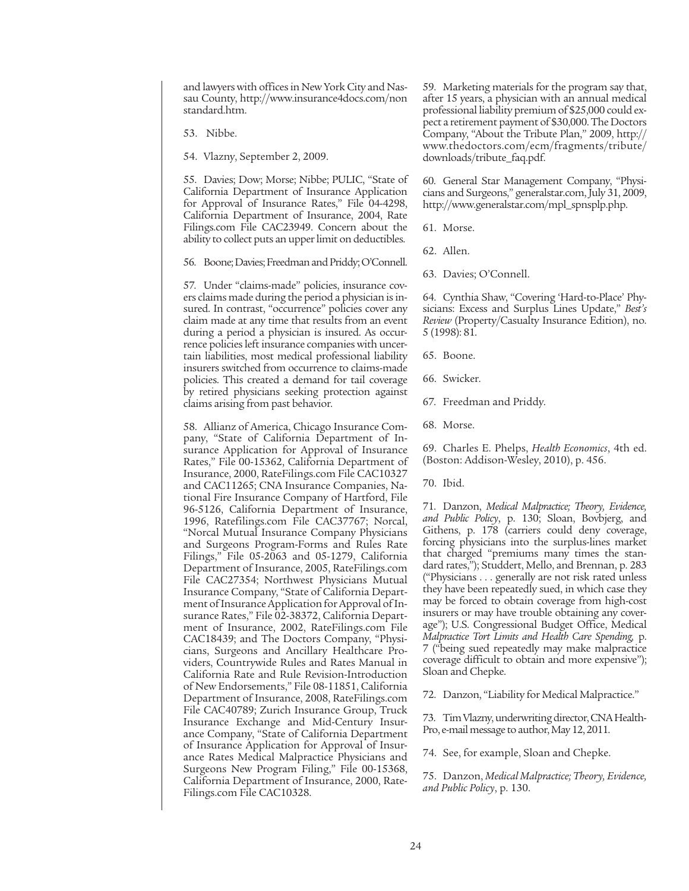and lawyers with offices in New York City and Nassau County, http://www.insurance4docs.com/non standard.htm.

53. Nibbe.

54. Vlazny, September 2, 2009.

55. Davies; Dow; Morse; Nibbe; PULIC, "State of California Department of Insurance Application for Approval of Insurance Rates," File 04-4298, California Department of Insurance, 2004, Rate Filings.com File CAC23949. Concern about the ability to collect puts an upper limit on deductibles.

56. Boone; Davies; Freedman and Priddy; O'Connell.

57. Under "claims-made" policies, insurance covers claims made during the period a physician is insured. In contrast, "occurrence" policies cover any claim made at any time that results from an event during a period a physician is insured. As occurrence policies left insurance companies with uncertain liabilities, most medical professional liability insurers switched from occurrence to claims-made policies. This created a demand for tail coverage by retired physicians seeking protection against claims arising from past behavior.

58. Allianz of America, Chicago Insurance Company, "State of California Department of Insurance Application for Approval of Insurance Rates," File 00-15362, California Department of Insurance, 2000, RateFilings.com File CAC10327 and CAC11265; CNA Insurance Companies, National Fire Insurance Company of Hartford, File 96-5126, California Department of Insurance, 1996, Ratefilings.com File CAC37767; Norcal, "Norcal Mutual Insurance Company Physicians and Surgeons Program-Forms and Rules Rate Filings," File 05-2063 and 05-1279, California Department of Insurance, 2005, RateFilings.com File CAC27354; Northwest Physicians Mutual Insurance Company, "State of California Department of Insurance Application for Approval of Insurance Rates," File 02-38372, California Department of Insurance, 2002, RateFilings.com File CAC18439; and The Doctors Company, "Physicians, Surgeons and Ancillary Healthcare Providers, Countrywide Rules and Rates Manual in California Rate and Rule Revision-Introduction of New Endorsements," File 08-11851, California Department of Insurance, 2008, RateFilings.com File CAC40789; Zurich Insurance Group, Truck Insurance Exchange and Mid-Century Insurance Company, "State of California Department of Insurance Application for Approval of Insurance Rates Medical Malpractice Physicians and Surgeons New Program Filing," File 00-15368, California Department of Insurance, 2000, Rate-Filings.com File CAC10328.

59. Marketing materials for the program say that, after 15 years, a physician with an annual medical professional liability premium of \$25,000 could expect a retirement payment of \$30,000. The Doctors Company, "About the Tribute Plan," 2009, http:// www.thedoctors.com/ecm/fragments/tribute/ downloads/tribute\_faq.pdf.

60. General Star Management Company, "Physicians and Surgeons," generalstar.com, July 31, 2009, http://www.generalstar.com/mpl\_spnsplp.php.

61. Morse.

62. Allen.

63. Davies; O'Connell.

64. Cynthia Shaw, "Covering 'Hard-to-Place' Physicians: Excess and Surplus Lines Update," *Best's Review* (Property/Casualty Insurance Edition), no. 5 (1998): 81.

65. Boone.

66. Swicker.

67. Freedman and Priddy.

68. Morse.

69. Charles E. Phelps, *Health Economics*, 4th ed. (Boston: Addison-Wesley, 2010), p. 456.

70. Ibid.

71. Danzon, *Medical Malpractice; Theory, Evidence, and Public Policy*, p. 130; Sloan, Bovbjerg, and Githens, p. 178 (carriers could deny coverage, forcing physicians into the surplus-lines market that charged "premiums many times the standard rates,"); Studdert, Mello, and Brennan, p. 283 ("Physicians . . . generally are not risk rated unless they have been repeatedly sued, in which case they may be forced to obtain coverage from high-cost insurers or may have trouble obtaining any coverage"); U.S. Congressional Budget Office, Medical *Malpractice Tort Limits and Health Care Spending,* p. 7 ("being sued repeatedly may make malpractice coverage difficult to obtain and more expensive"); Sloan and Chepke.

72. Danzon, "Liability for Medical Malpractice."

73. Tim Vlazny, underwriting director, CNA Health-Pro, e-mail message to author, May 12, 2011.

74. See, for example, Sloan and Chepke.

75. Danzon, *Medical Malpractice; Theory, Evidence, and Public Policy*, p. 130.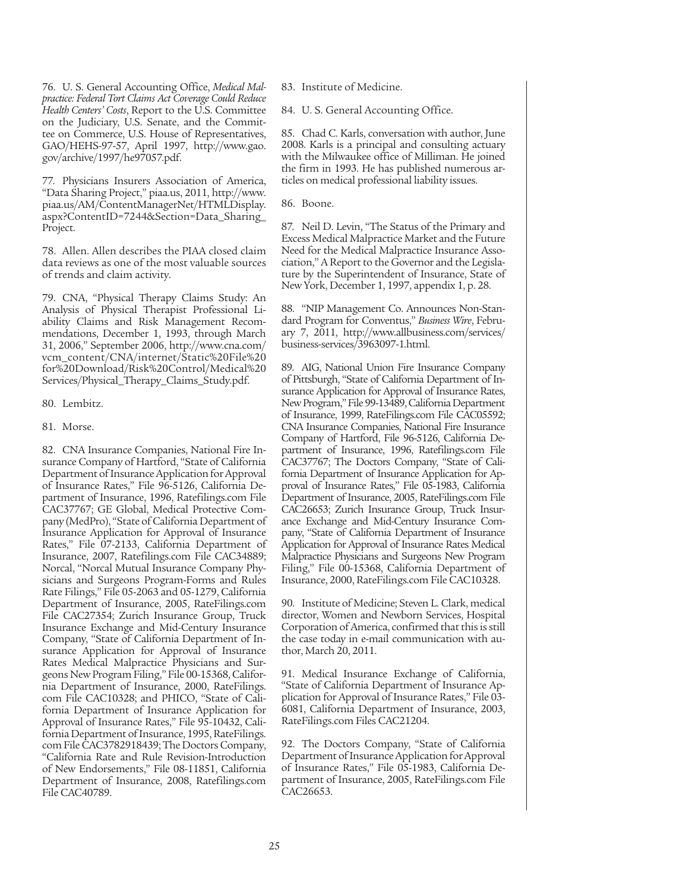76. U. S. General Accounting Office, *Medical Malpractice: Federal Tort Claims Act Coverage Could Reduce Health Centers' Costs*, Report to the U.S. Committee on the Judiciary, U.S. Senate, and the Committee on Commerce, U.S. House of Representatives, GAO/HEHS-97-57, April 1997, http://www.gao. gov/archive/1997/he97057.pdf.

77. Physicians Insurers Association of America, "Data Sharing Project," piaa.us, 2011, http://www. piaa.us/AM/ContentManagerNet/HTMLDisplay. aspx?ContentID=7244&Section=Data\_Sharing\_ Project.

78. Allen. Allen describes the PIAA closed claim data reviews as one of the most valuable sources of trends and claim activity.

79. CNA, "Physical Therapy Claims Study: An Analysis of Physical Therapist Professional Liability Claims and Risk Management Recommendations, December 1, 1993, through March 31, 2006," September 2006, http://www.cna.com/ vcm\_content/CNA/internet/Static%20File%20 for%20Download/Risk%20Control/Medical%20 Services/Physical\_Therapy\_Claims\_Study.pdf.

- 80. Lembitz.
- 81. Morse.

82. CNA Insurance Companies, National Fire Insurance Company of Hartford, "State of California Department of Insurance Application for Approval of Insurance Rates," File 96-5126, California Department of Insurance, 1996, Ratefilings.com File CAC37767; GE Global, Medical Protective Company (MedPro), "State of California Department of Insurance Application for Approval of Insurance Rates," File 07-2133, California Department of Insurance, 2007, Ratefilings.com File CAC34889; Norcal, "Norcal Mutual Insurance Company Physicians and Surgeons Program-Forms and Rules Rate Filings," File 05-2063 and 05-1279, California Department of Insurance, 2005, RateFilings.com File CAC27354; Zurich Insurance Group, Truck Insurance Exchange and Mid-Century Insurance Company, "State of California Department of Insurance Application for Approval of Insurance Rates Medical Malpractice Physicians and Surgeons New Program Filing," File 00-15368, California Department of Insurance, 2000, RateFilings. com File CAC10328; and PHICO, "State of California Department of Insurance Application for Approval of Insurance Rates," File 95-10432, California Department of Insurance, 1995, RateFilings. com File CAC3782918439; The Doctors Company, "California Rate and Rule Revision-Introduction of New Endorsements," File 08-11851, California Department of Insurance, 2008, Ratefilings.com File CAC40789.

83. Institute of Medicine.

84. U. S. General Accounting Office.

85. Chad C. Karls, conversation with author, June 2008. Karls is a principal and consulting actuary with the Milwaukee office of Milliman. He joined the firm in 1993. He has published numerous articles on medical professional liability issues.

86. Boone.

87. Neil D. Levin, "The Status of the Primary and Excess Medical Malpractice Market and the Future Need for the Medical Malpractice Insurance Association," A Report to the Governor and the Legislature by the Superintendent of Insurance, State of New York, December 1, 1997, appendix 1, p. 28.

88. "NIP Management Co. Announces Non-Standard Program for Conventus," *Business Wire*, February 7, 2011, http://www.allbusiness.com/services/ business-services/3963097-1.html.

89. AIG, National Union Fire Insurance Company of Pittsburgh, "State of California Department of Insurance Application for Approval of Insurance Rates, New Program," File 99-13489, California Department of Insurance, 1999, RateFilings.com File CAC05592; CNA Insurance Companies, National Fire Insurance Company of Hartford, File 96-5126, California Department of Insurance, 1996, Ratefilings.com File CAC37767; The Doctors Company, "State of California Department of Insurance Application for Approval of Insurance Rates," File 05-1983, California Department of Insurance, 2005, RateFilings.com File CAC26653; Zurich Insurance Group, Truck Insurance Exchange and Mid-Century Insurance Company, "State of California Department of Insurance Application for Approval of Insurance Rates Medical Malpractice Physicians and Surgeons New Program Filing," File 00-15368, California Department of Insurance, 2000, RateFilings.com File CAC10328.

90. Institute of Medicine; Steven L. Clark, medical director, Women and Newborn Services, Hospital Corporation of America, confirmed that this is still the case today in e-mail communication with author, March 20, 2011.

91. Medical Insurance Exchange of California, "State of California Department of Insurance Application for Approval of Insurance Rates," File 03- 6081, California Department of Insurance, 2003, RateFilings.com Files CAC21204.

92. The Doctors Company, "State of California Department of Insurance Application for Approval of Insurance Rates," File 05-1983, California Department of Insurance, 2005, RateFilings.com File CAC26653.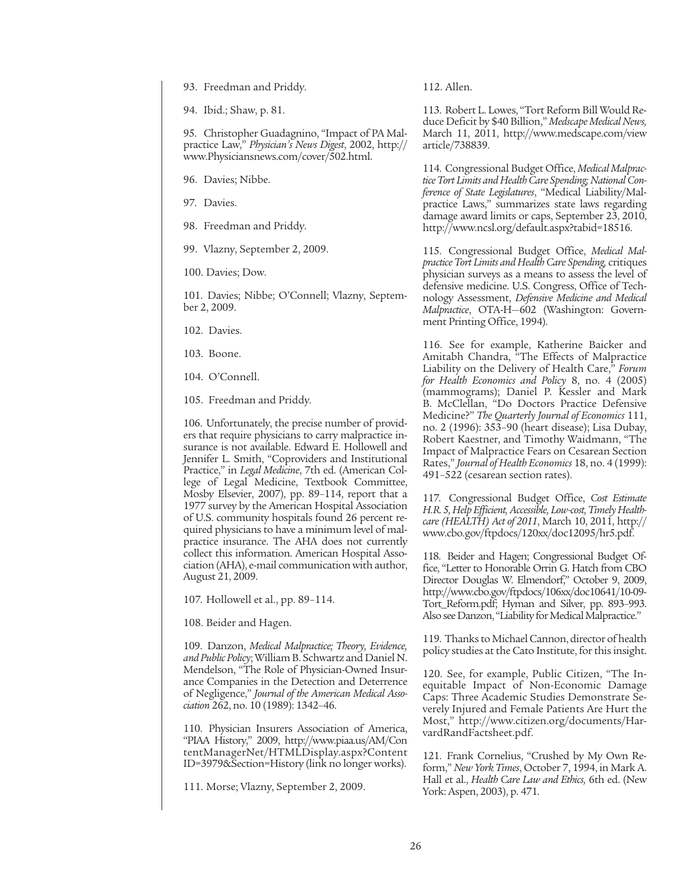93. Freedman and Priddy.

94. Ibid.; Shaw, p. 81.

95. Christopher Guadagnino, "Impact of PA Malpractice Law," *Physician's News Digest*, 2002, http:// www.Physiciansnews.com/cover/502.html.

96. Davies; Nibbe.

97. Davies.

98. Freedman and Priddy.

99. Vlazny, September 2, 2009.

100. Davies; Dow.

101. Davies; Nibbe; O'Connell; Vlazny, September 2, 2009.

102. Davies.

103. Boone.

104. O'Connell.

105. Freedman and Priddy.

106. Unfortunately, the precise number of providers that require physicians to carry malpractice insurance is not available. Edward E. Hollowell and Jennifer L. Smith, "Coproviders and Institutional Practice," in *Legal Medicine*, 7th ed. (American College of Legal Medicine, Textbook Committee, Mosby Elsevier, 2007), pp. 89–114, report that a 1977 survey by the American Hospital Association of U.S. community hospitals found 26 percent required physicians to have a minimum level of malpractice insurance. The AHA does not currently collect this information. American Hospital Association (AHA), e-mail communication with author, August 21, 2009.

107. Hollowell et al., pp. 89–114.

108. Beider and Hagen.

109. Danzon, *Medical Malpractice; Theory, Evidence, and Public Policy*; William B. Schwartz and Daniel N. Mendelson, "The Role of Physician-Owned Insurance Companies in the Detection and Deterrence of Negligence," *Journal of the American Medical Association* 262, no. 10 (1989): 1342–46.

110. Physician Insurers Association of America, "PIAA History," 2009, http://www.piaa.us/AM/Con tentManagerNet/HTMLDisplay.aspx?Content ID=3979&Section=History (link no longer works).

111. Morse; Vlazny, September 2, 2009.

112. Allen.

113. Robert L. Lowes, "Tort Reform Bill Would Reduce Deficit by \$40 Billion," *Medscape Medical News,* March 11, 2011, http://www.medscape.com/view article/738839.

114. Congressional Budget Office, *Medical Malpractice Tort Limits and Health Care Spending; National Conference of State Legislatures*, "Medical Liability/Malpractice Laws," summarizes state laws regarding damage award limits or caps, September 23, 2010, http://www.ncsl.org/default.aspx?tabid=18516.

115. Congressional Budget Office, *Medical Malpractice Tort Limits and Health Care Spending,* critiques physician surveys as a means to assess the level of defensive medicine. U.S. Congress, Office of Technology Assessment, *Defensive Medicine and Medical Malpractice*, OTA-H—602 (Washington: Government Printing Office, 1994).

116. See for example, Katherine Baicker and Amitabh Chandra, "The Effects of Malpractice Liability on the Delivery of Health Care," *Forum for Health Economics and Policy* 8, no. 4 (2005) (mammograms); Daniel P. Kessler and Mark B. McClellan, "Do Doctors Practice Defensive Medicine?" *The Quarterly Journal of Economics* 111, no. 2 (1996): 353–90 (heart disease); Lisa Dubay, Robert Kaestner, and Timothy Waidmann, "The Impact of Malpractice Fears on Cesarean Section Rates," *Journal of Health Economics* 18, no. 4 (1999): 491–522 (cesarean section rates).

117. Congressional Budget Office, *Cost Estimate H.R. 5, Help Efficient, Accessible, Low-cost, Timely Healthcare (HEALTH) Act of 2011*, March 10, 2011, http:// www.cbo.gov/ftpdocs/120xx/doc12095/hr5.pdf.

118. Beider and Hagen; Congressional Budget Office, "Letter to Honorable Orrin G. Hatch from CBO Director Douglas W. Elmendorf," October 9, 2009, http://www.cbo.gov/ftpdocs/106xx/doc10641/10-09- Tort\_Reform.pdf; Hyman and Silver, pp. 893–993. Also see Danzon, "Liability for Medical Malpractice."

119. Thanks to Michael Cannon, director of health policy studies at the Cato Institute, for this insight.

120. See, for example, Public Citizen, "The Inequitable Impact of Non-Economic Damage Caps: Three Academic Studies Demonstrate Severely Injured and Female Patients Are Hurt the Most," http://www.citizen.org/documents/HarvardRandFactsheet.pdf.

121. Frank Cornelius, "Crushed by My Own Reform," *New York Times*, October 7, 1994, in Mark A. Hall et al., *Health Care Law and Ethics,* 6th ed. (New York: Aspen, 2003), p. 471.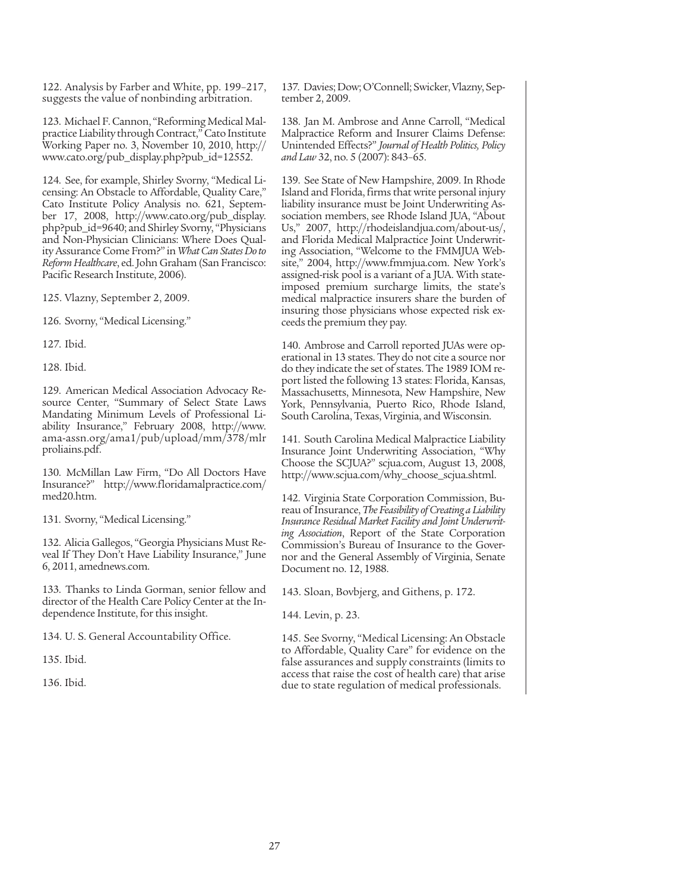122. Analysis by Farber and White, pp. 199–217, suggests the value of nonbinding arbitration.

123. Michael F. Cannon, "Reforming Medical Malpractice Liability through Contract," Cato Institute Working Paper no. 3, November 10, 2010, http:// www.cato.org/pub\_display.php?pub\_id=12552.

124. See, for example, Shirley Svorny, "Medical Licensing: An Obstacle to Affordable, Quality Care," Cato Institute Policy Analysis no. 621, September 17, 2008, http://www.cato.org/pub\_display. php?pub\_id=9640; and Shirley Svorny, "Physicians and Non-Physician Clinicians: Where Does Quality Assurance Come From?" in *What Can States Do to Reform Healthcare*, ed. John Graham (San Francisco: Pacific Research Institute, 2006).

125. Vlazny, September 2, 2009.

126. Svorny, "Medical Licensing."

127. Ibid.

128. Ibid.

129. American Medical Association Advocacy Resource Center, "Summary of Select State Laws Mandating Minimum Levels of Professional Liability Insurance," February 2008, http://www. ama-assn.org/ama1/pub/upload/mm/378/mlr proliains.pdf.

130. McMillan Law Firm, "Do All Doctors Have Insurance?" http://www.floridamalpractice.com/ med20.htm.

131. Svorny, "Medical Licensing."

132. Alicia Gallegos, "Georgia Physicians Must Reveal If They Don't Have Liability Insurance," June 6, 2011, amednews.com.

133. Thanks to Linda Gorman, senior fellow and director of the Health Care Policy Center at the Independence Institute, for this insight.

134. U. S. General Accountability Office.

135. Ibid.

136. Ibid.

137. Davies; Dow; O'Connell; Swicker, Vlazny, September 2, 2009.

138. Jan M. Ambrose and Anne Carroll, "Medical Malpractice Reform and Insurer Claims Defense: Unintended Effects?" *Journal of Health Politics, Policy and Law* 32, no. 5 (2007): 843–65.

139. See State of New Hampshire, 2009. In Rhode Island and Florida, firms that write personal injury liability insurance must be Joint Underwriting Association members, see Rhode Island JUA, "About Us," 2007, http://rhodeislandjua.com/about-us/, and Florida Medical Malpractice Joint Underwriting Association, "Welcome to the FMMJUA Website," 2004, http://www.fmmjua.com. New York's assigned-risk pool is a variant of a JUA. With stateimposed premium surcharge limits, the state's medical malpractice insurers share the burden of insuring those physicians whose expected risk exceeds the premium they pay.

140. Ambrose and Carroll reported JUAs were operational in 13 states. They do not cite a source nor do they indicate the set of states. The 1989 IOM report listed the following 13 states: Florida, Kansas, Massachusetts, Minnesota, New Hampshire, New York, Pennsylvania, Puerto Rico, Rhode Island, South Carolina, Texas, Virginia, and Wisconsin.

141. South Carolina Medical Malpractice Liability Insurance Joint Underwriting Association, "Why Choose the SCJUA?" scjua.com, August 13, 2008, http://www.scjua.com/why\_choose\_scjua.shtml.

142. Virginia State Corporation Commission, Bureau of Insurance, *The Feasibility of Creating a Liability Insurance Residual Market Facility and Joint Underwriting Association*, Report of the State Corporation Commission's Bureau of Insurance to the Governor and the General Assembly of Virginia, Senate Document no. 12, 1988.

143. Sloan, Bovbjerg, and Githens, p. 172.

144. Levin, p. 23.

145. See Svorny, "Medical Licensing: An Obstacle to Affordable, Quality Care" for evidence on the false assurances and supply constraints (limits to access that raise the cost of health care) that arise due to state regulation of medical professionals.